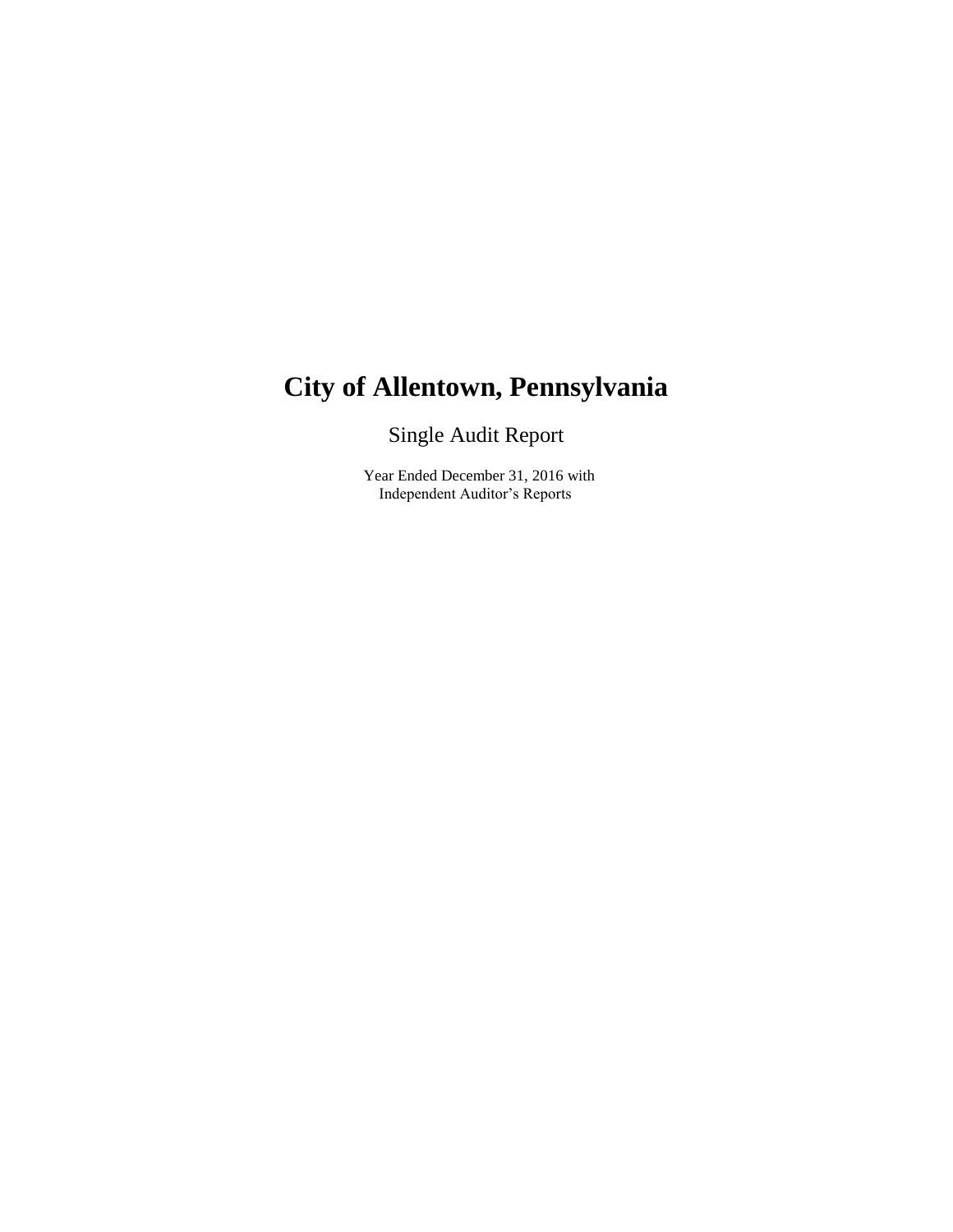# **City of Allentown, Pennsylvania**

Single Audit Report

 Year Ended December 31, 2016 with Independent Auditor's Reports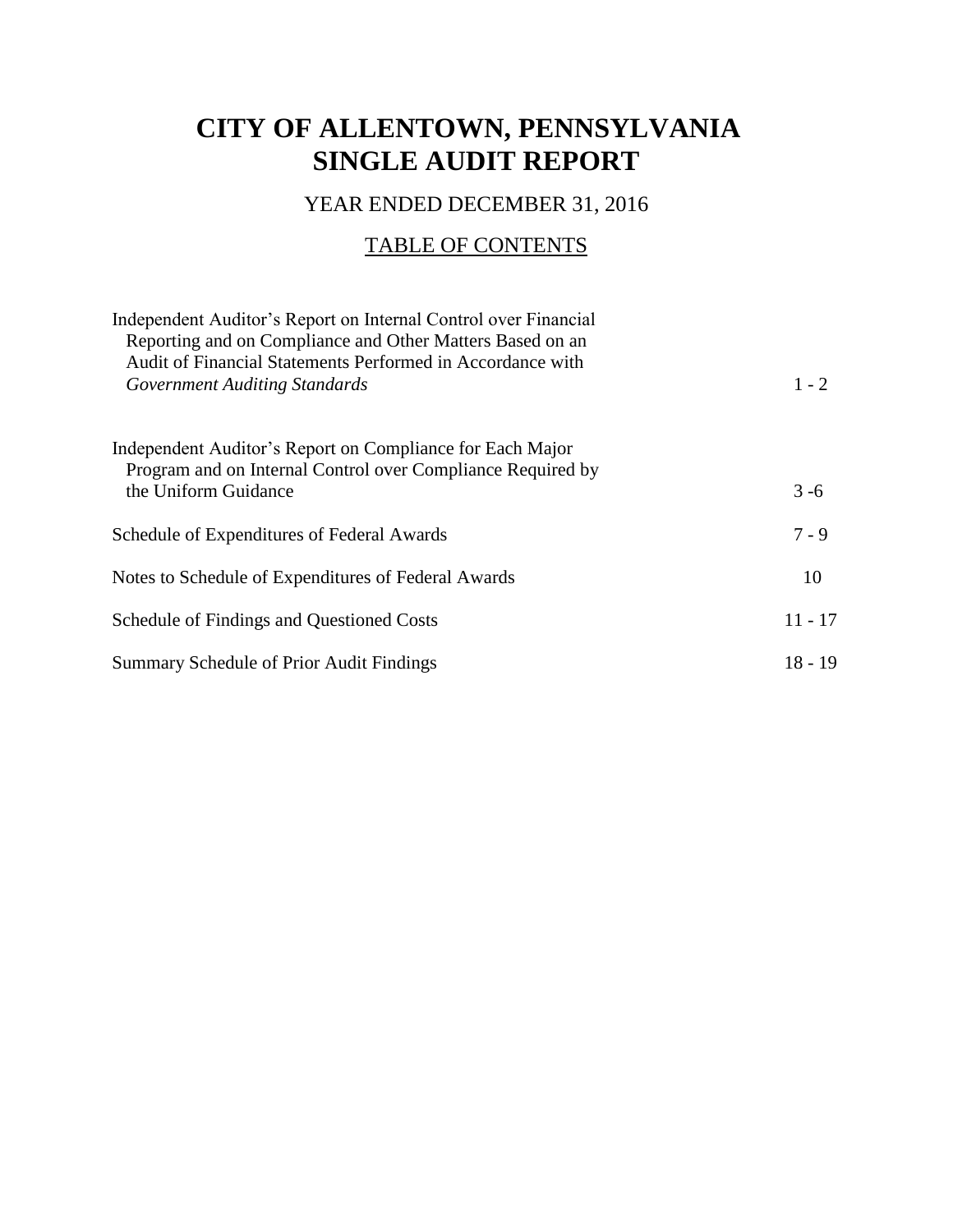# **CITY OF ALLENTOWN, PENNSYLVANIA SINGLE AUDIT REPORT**

# YEAR ENDED DECEMBER 31, 2016

# TABLE OF CONTENTS

| Independent Auditor's Report on Internal Control over Financial<br>Reporting and on Compliance and Other Matters Based on an<br>Audit of Financial Statements Performed in Accordance with |           |
|--------------------------------------------------------------------------------------------------------------------------------------------------------------------------------------------|-----------|
| <b>Government Auditing Standards</b>                                                                                                                                                       | $1 - 2$   |
| Independent Auditor's Report on Compliance for Each Major<br>Program and on Internal Control over Compliance Required by                                                                   |           |
| the Uniform Guidance                                                                                                                                                                       | $3 - 6$   |
| Schedule of Expenditures of Federal Awards                                                                                                                                                 | $7 - 9$   |
| Notes to Schedule of Expenditures of Federal Awards                                                                                                                                        | 10        |
| Schedule of Findings and Questioned Costs                                                                                                                                                  | $11 - 17$ |
| Summary Schedule of Prior Audit Findings                                                                                                                                                   | $18 - 19$ |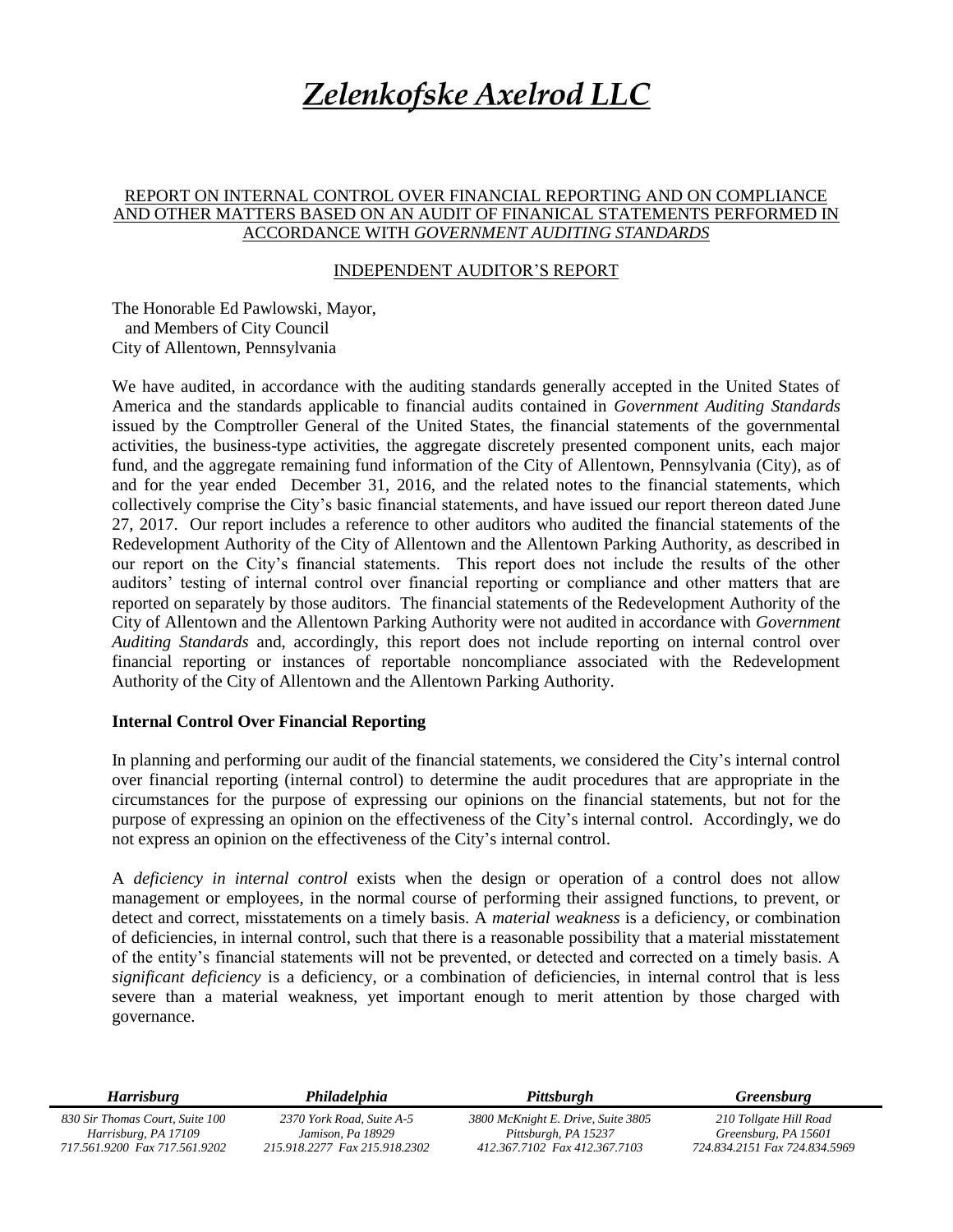### REPORT ON INTERNAL CONTROL OVER FINANCIAL REPORTING AND ON COMPLIANCE AND OTHER MATTERS BASED ON AN AUDIT OF FINANICAL STATEMENTS PERFORMED IN ACCORDANCE WITH *GOVERNMENT AUDITING STANDARDS*

### INDEPENDENT AUDITOR'S REPORT

The Honorable Ed Pawlowski, Mayor, and Members of City Council City of Allentown, Pennsylvania

We have audited, in accordance with the auditing standards generally accepted in the United States of America and the standards applicable to financial audits contained in *Government Auditing Standards* issued by the Comptroller General of the United States, the financial statements of the governmental activities, the business-type activities, the aggregate discretely presented component units, each major fund, and the aggregate remaining fund information of the City of Allentown, Pennsylvania (City), as of and for the year ended December 31, 2016, and the related notes to the financial statements, which collectively comprise the City's basic financial statements, and have issued our report thereon dated June 27, 2017. Our report includes a reference to other auditors who audited the financial statements of the Redevelopment Authority of the City of Allentown and the Allentown Parking Authority, as described in our report on the City's financial statements. This report does not include the results of the other auditors' testing of internal control over financial reporting or compliance and other matters that are reported on separately by those auditors. The financial statements of the Redevelopment Authority of the City of Allentown and the Allentown Parking Authority were not audited in accordance with *Government Auditing Standards* and, accordingly, this report does not include reporting on internal control over financial reporting or instances of reportable noncompliance associated with the Redevelopment Authority of the City of Allentown and the Allentown Parking Authority.

#### **Internal Control Over Financial Reporting**

In planning and performing our audit of the financial statements, we considered the City's internal control over financial reporting (internal control) to determine the audit procedures that are appropriate in the circumstances for the purpose of expressing our opinions on the financial statements, but not for the purpose of expressing an opinion on the effectiveness of the City's internal control. Accordingly, we do not express an opinion on the effectiveness of the City's internal control.

A *deficiency in internal control* exists when the design or operation of a control does not allow management or employees, in the normal course of performing their assigned functions, to prevent, or detect and correct, misstatements on a timely basis. A *material weakness* is a deficiency, or combination of deficiencies, in internal control, such that there is a reasonable possibility that a material misstatement of the entity's financial statements will not be prevented, or detected and corrected on a timely basis. A *significant deficiency* is a deficiency, or a combination of deficiencies, in internal control that is less severe than a material weakness, yet important enough to merit attention by those charged with governance.

| <b>Harrisburg</b>               | Philadelphia                  | Pittsburgh                         | <b>Greensburg</b>             |
|---------------------------------|-------------------------------|------------------------------------|-------------------------------|
| 830 Sir Thomas Court, Suite 100 | 2370 York Road, Suite A-5     | 3800 McKnight E. Drive, Suite 3805 | 210 Tollgate Hill Road        |
| Harrisburg, PA 17109            | Jamison, Pa 18929             | Pittsburgh, PA 15237               | Greensburg, PA 15601          |
| 717.561.9200 Fax 717.561.9202   | 215.918.2277 Fax 215.918.2302 | 412.367.7102 Fax 412.367.7103      | 724.834.2151 Fax 724.834.5969 |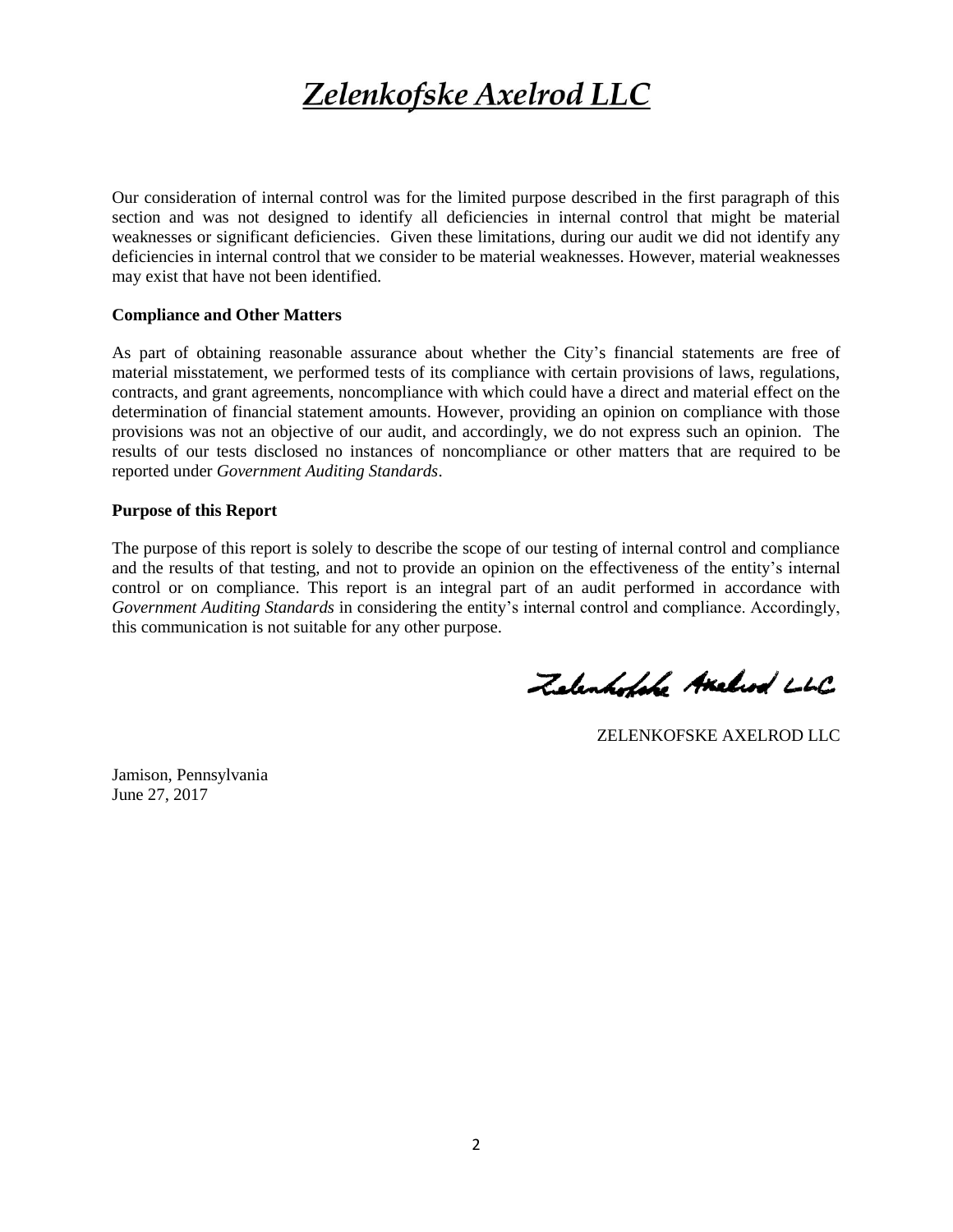Our consideration of internal control was for the limited purpose described in the first paragraph of this section and was not designed to identify all deficiencies in internal control that might be material weaknesses or significant deficiencies. Given these limitations, during our audit we did not identify any deficiencies in internal control that we consider to be material weaknesses. However, material weaknesses may exist that have not been identified.

#### **Compliance and Other Matters**

As part of obtaining reasonable assurance about whether the City's financial statements are free of material misstatement, we performed tests of its compliance with certain provisions of laws, regulations, contracts, and grant agreements, noncompliance with which could have a direct and material effect on the determination of financial statement amounts. However, providing an opinion on compliance with those provisions was not an objective of our audit, and accordingly, we do not express such an opinion. The results of our tests disclosed no instances of noncompliance or other matters that are required to be reported under *Government Auditing Standards*.

#### **Purpose of this Report**

The purpose of this report is solely to describe the scope of our testing of internal control and compliance and the results of that testing, and not to provide an opinion on the effectiveness of the entity's internal control or on compliance. This report is an integral part of an audit performed in accordance with *Government Auditing Standards* in considering the entity's internal control and compliance. Accordingly, this communication is not suitable for any other purpose.

Zelenholske Attalroad LLC

ZELENKOFSKE AXELROD LLC

Jamison, Pennsylvania June 27, 2017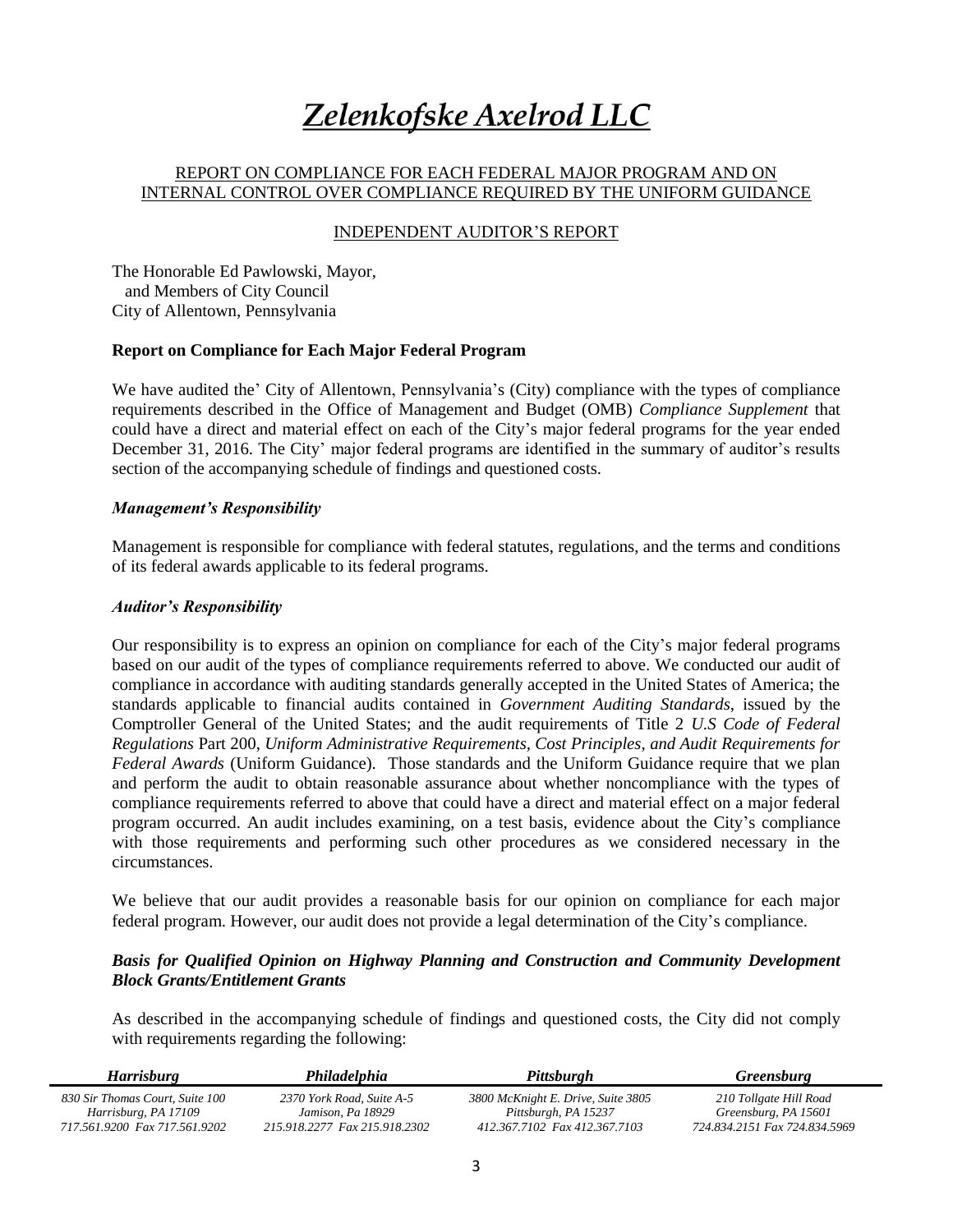# REPORT ON COMPLIANCE FOR EACH FEDERAL MAJOR PROGRAM AND ON INTERNAL CONTROL OVER COMPLIANCE REQUIRED BY THE UNIFORM GUIDANCE

# INDEPENDENT AUDITOR'S REPORT

The Honorable Ed Pawlowski, Mayor, and Members of City Council City of Allentown, Pennsylvania

# **Report on Compliance for Each Major Federal Program**

We have audited the' City of Allentown, Pennsylvania's (City) compliance with the types of compliance requirements described in the Office of Management and Budget (OMB) *Compliance Supplement* that could have a direct and material effect on each of the City's major federal programs for the year ended December 31, 2016. The City' major federal programs are identified in the summary of auditor's results section of the accompanying schedule of findings and questioned costs.

#### *Management's Responsibility*

Management is responsible for compliance with federal statutes, regulations, and the terms and conditions of its federal awards applicable to its federal programs.

#### *Auditor's Responsibility*

Our responsibility is to express an opinion on compliance for each of the City's major federal programs based on our audit of the types of compliance requirements referred to above. We conducted our audit of compliance in accordance with auditing standards generally accepted in the United States of America; the standards applicable to financial audits contained in *Government Auditing Standards*, issued by the Comptroller General of the United States; and the audit requirements of Title 2 *U.S Code of Federal Regulations* Part 200, *Uniform Administrative Requirements, Cost Principles, and Audit Requirements for Federal Awards* (Uniform Guidance)*.* Those standards and the Uniform Guidance require that we plan and perform the audit to obtain reasonable assurance about whether noncompliance with the types of compliance requirements referred to above that could have a direct and material effect on a major federal program occurred. An audit includes examining, on a test basis, evidence about the City's compliance with those requirements and performing such other procedures as we considered necessary in the circumstances.

We believe that our audit provides a reasonable basis for our opinion on compliance for each major federal program. However, our audit does not provide a legal determination of the City's compliance.

# *Basis for Qualified Opinion on Highway Planning and Construction and Community Development Block Grants/Entitlement Grants*

As described in the accompanying schedule of findings and questioned costs, the City did not comply with requirements regarding the following:

| <b>Harrisburg</b>               | Philadelphia                  | Pittsburgh                         | Greensburg                    |
|---------------------------------|-------------------------------|------------------------------------|-------------------------------|
| 830 Sir Thomas Court, Suite 100 | 2370 York Road, Suite A-5     | 3800 McKnight E. Drive, Suite 3805 | 210 Tollgate Hill Road        |
| Harrisburg, PA 17109            | Jamison, Pa 18929             | Pittsburgh, PA 15237               | Greensburg, PA 15601          |
| 717.561.9200 Fax 717.561.9202   | 215.918.2277 Fax 215.918.2302 | 412.367.7102 Fax 412.367.7103      | 724.834.2151 Fax 724.834.5969 |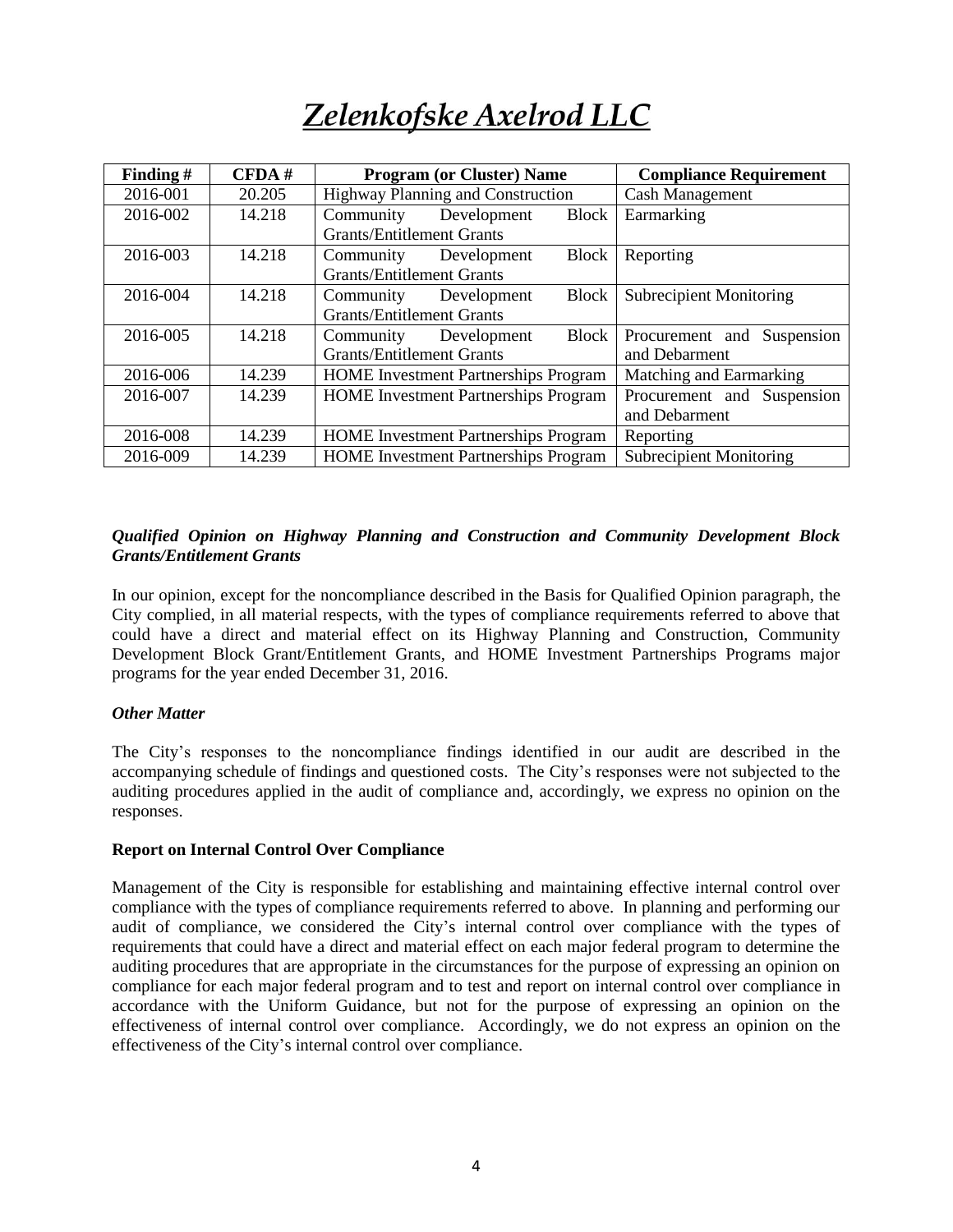| Finding # | CFDA#  | <b>Program (or Cluster) Name</b><br><b>Compliance Requirement</b>             |  |  |  |  |
|-----------|--------|-------------------------------------------------------------------------------|--|--|--|--|
| 2016-001  | 20.205 | <b>Highway Planning and Construction</b><br><b>Cash Management</b>            |  |  |  |  |
| 2016-002  | 14.218 | Earmarking<br>Community<br>Development<br><b>Block</b>                        |  |  |  |  |
|           |        | <b>Grants/Entitlement Grants</b>                                              |  |  |  |  |
| 2016-003  | 14.218 | <b>Block</b><br>Development<br>Reporting<br>Community                         |  |  |  |  |
|           |        | <b>Grants/Entitlement Grants</b>                                              |  |  |  |  |
| 2016-004  | 14.218 | <b>Subrecipient Monitoring</b><br>Community<br>Development<br>Block           |  |  |  |  |
|           |        | <b>Grants/Entitlement Grants</b>                                              |  |  |  |  |
| 2016-005  | 14.218 | <b>Block</b><br>Community<br>Development<br>Procurement and Suspension        |  |  |  |  |
|           |        | <b>Grants/Entitlement Grants</b><br>and Debarment                             |  |  |  |  |
| 2016-006  | 14.239 | <b>HOME</b> Investment Partnerships Program<br>Matching and Earmarking        |  |  |  |  |
| 2016-007  | 14.239 | <b>HOME</b> Investment Partnerships Program<br>Procurement and Suspension     |  |  |  |  |
|           |        | and Debarment                                                                 |  |  |  |  |
| 2016-008  | 14.239 | <b>HOME</b> Investment Partnerships Program<br>Reporting                      |  |  |  |  |
| 2016-009  | 14.239 | <b>Subrecipient Monitoring</b><br><b>HOME</b> Investment Partnerships Program |  |  |  |  |

# *Qualified Opinion on Highway Planning and Construction and Community Development Block Grants/Entitlement Grants*

In our opinion, except for the noncompliance described in the Basis for Qualified Opinion paragraph, the City complied, in all material respects, with the types of compliance requirements referred to above that could have a direct and material effect on its Highway Planning and Construction, Community Development Block Grant/Entitlement Grants, and HOME Investment Partnerships Programs major programs for the year ended December 31, 2016.

# *Other Matter*

The City's responses to the noncompliance findings identified in our audit are described in the accompanying schedule of findings and questioned costs. The City's responses were not subjected to the auditing procedures applied in the audit of compliance and, accordingly, we express no opinion on the responses.

# **Report on Internal Control Over Compliance**

Management of the City is responsible for establishing and maintaining effective internal control over compliance with the types of compliance requirements referred to above. In planning and performing our audit of compliance, we considered the City's internal control over compliance with the types of requirements that could have a direct and material effect on each major federal program to determine the auditing procedures that are appropriate in the circumstances for the purpose of expressing an opinion on compliance for each major federal program and to test and report on internal control over compliance in accordance with the Uniform Guidance, but not for the purpose of expressing an opinion on the effectiveness of internal control over compliance. Accordingly, we do not express an opinion on the effectiveness of the City's internal control over compliance.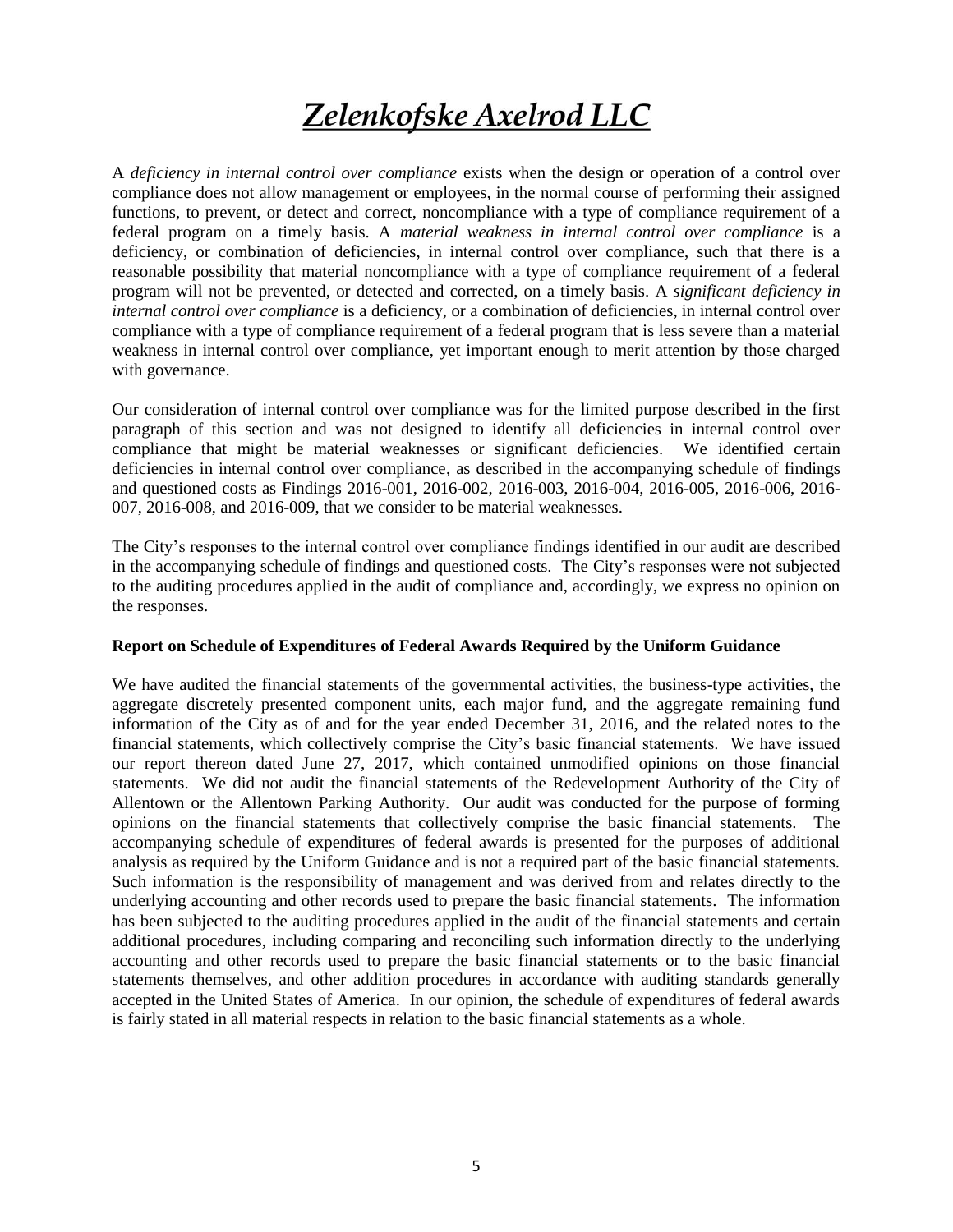A *deficiency in internal control over compliance* exists when the design or operation of a control over compliance does not allow management or employees, in the normal course of performing their assigned functions, to prevent, or detect and correct, noncompliance with a type of compliance requirement of a federal program on a timely basis. A *material weakness in internal control over compliance* is a deficiency, or combination of deficiencies, in internal control over compliance, such that there is a reasonable possibility that material noncompliance with a type of compliance requirement of a federal program will not be prevented, or detected and corrected, on a timely basis. A *significant deficiency in internal control over compliance* is a deficiency, or a combination of deficiencies, in internal control over compliance with a type of compliance requirement of a federal program that is less severe than a material weakness in internal control over compliance, yet important enough to merit attention by those charged with governance.

Our consideration of internal control over compliance was for the limited purpose described in the first paragraph of this section and was not designed to identify all deficiencies in internal control over compliance that might be material weaknesses or significant deficiencies. We identified certain deficiencies in internal control over compliance, as described in the accompanying schedule of findings and questioned costs as Findings 2016-001, 2016-002, 2016-003, 2016-004, 2016-005, 2016-006, 2016- 007, 2016-008, and 2016-009, that we consider to be material weaknesses.

The City's responses to the internal control over compliance findings identified in our audit are described in the accompanying schedule of findings and questioned costs. The City's responses were not subjected to the auditing procedures applied in the audit of compliance and, accordingly, we express no opinion on the responses.

# **Report on Schedule of Expenditures of Federal Awards Required by the Uniform Guidance**

We have audited the financial statements of the governmental activities, the business-type activities, the aggregate discretely presented component units, each major fund, and the aggregate remaining fund information of the City as of and for the year ended December 31, 2016, and the related notes to the financial statements, which collectively comprise the City's basic financial statements. We have issued our report thereon dated June 27, 2017, which contained unmodified opinions on those financial statements. We did not audit the financial statements of the Redevelopment Authority of the City of Allentown or the Allentown Parking Authority. Our audit was conducted for the purpose of forming opinions on the financial statements that collectively comprise the basic financial statements. The accompanying schedule of expenditures of federal awards is presented for the purposes of additional analysis as required by the Uniform Guidance and is not a required part of the basic financial statements. Such information is the responsibility of management and was derived from and relates directly to the underlying accounting and other records used to prepare the basic financial statements. The information has been subjected to the auditing procedures applied in the audit of the financial statements and certain additional procedures, including comparing and reconciling such information directly to the underlying accounting and other records used to prepare the basic financial statements or to the basic financial statements themselves, and other addition procedures in accordance with auditing standards generally accepted in the United States of America. In our opinion, the schedule of expenditures of federal awards is fairly stated in all material respects in relation to the basic financial statements as a whole.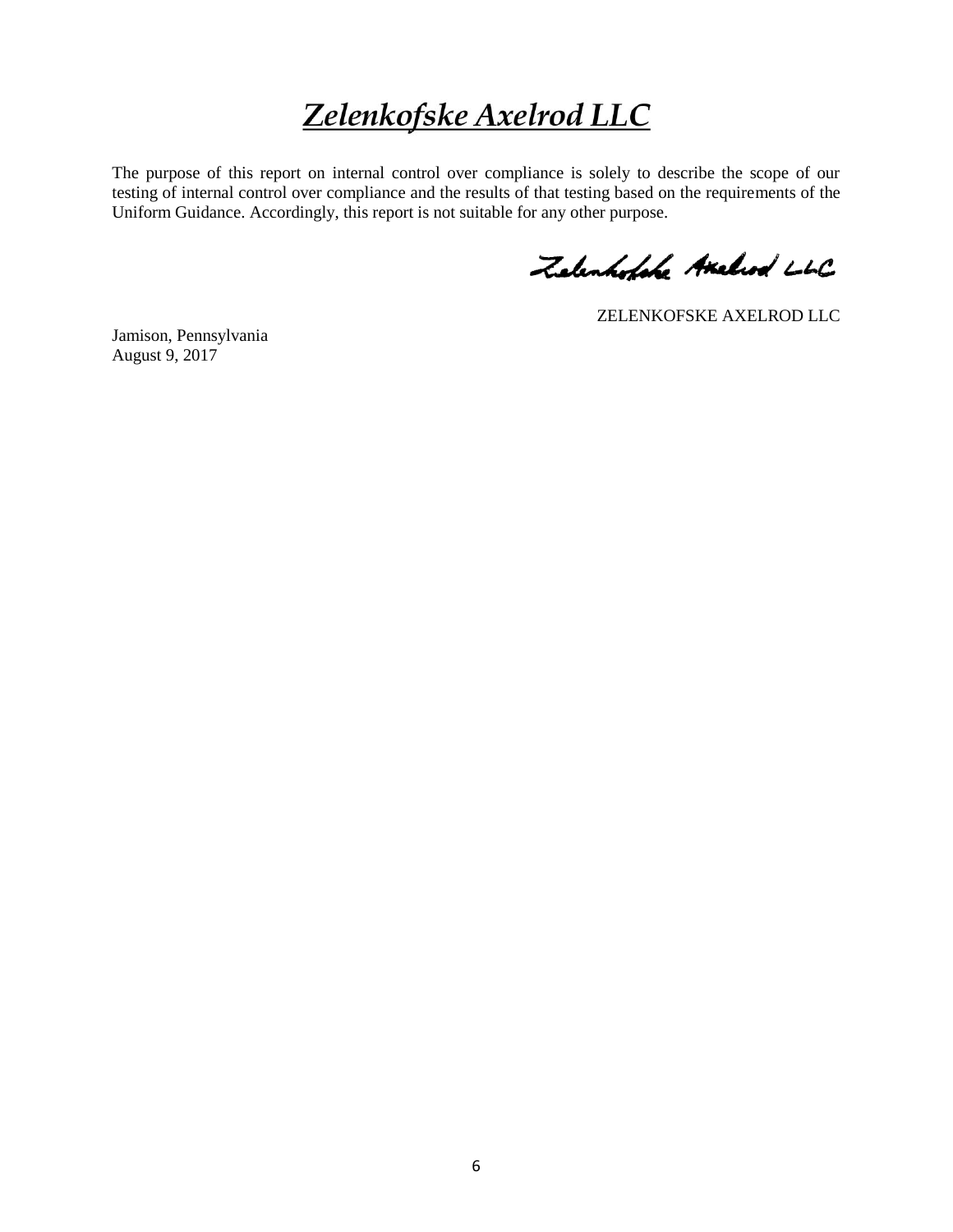The purpose of this report on internal control over compliance is solely to describe the scope of our testing of internal control over compliance and the results of that testing based on the requirements of the Uniform Guidance. Accordingly, this report is not suitable for any other purpose.

Zelenhofske Attalcod LLC

ZELENKOFSKE AXELROD LLC

Jamison, Pennsylvania August 9, 2017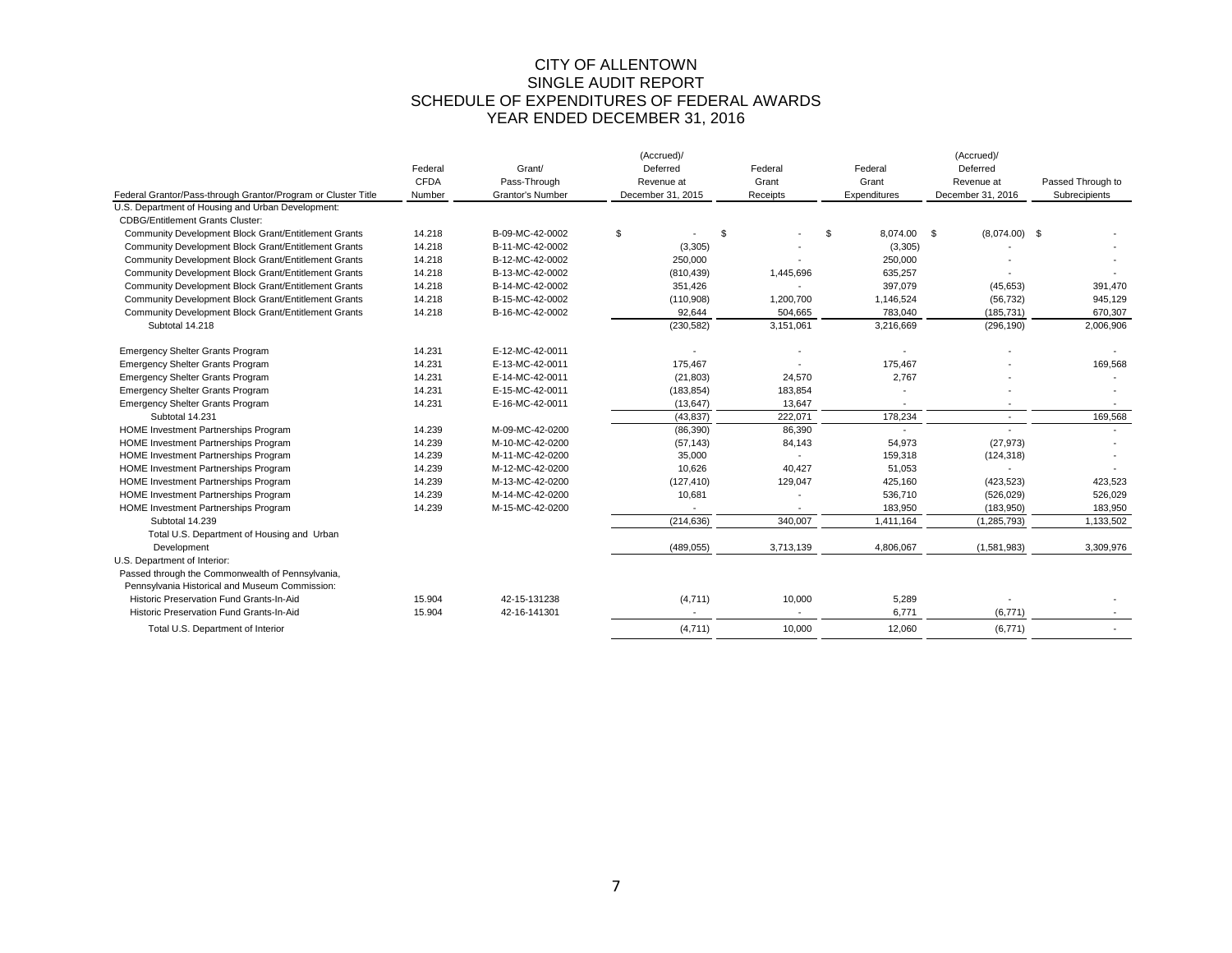#### CITY OF ALLENTOWN SINGLE AUDIT REPORT SCHEDULE OF EXPENDITURES OF FEDERAL AWARDS YEAR ENDED DECEMBER 31, 2016

|                                                               |             |                         | (Accrued)/        |            |           |                          | (Accrued)/               |                   |
|---------------------------------------------------------------|-------------|-------------------------|-------------------|------------|-----------|--------------------------|--------------------------|-------------------|
|                                                               | Federal     | Grant/                  | Deferred          |            | Federal   | Federal                  | Deferred                 |                   |
|                                                               | <b>CFDA</b> | Pass-Through            | Revenue at        |            | Grant     | Grant                    | Revenue at               | Passed Through to |
| Federal Grantor/Pass-through Grantor/Program or Cluster Title | Number      | <b>Grantor's Number</b> | December 31, 2015 |            | Receipts  | Expenditures             | December 31, 2016        | Subrecipients     |
| U.S. Department of Housing and Urban Development:             |             |                         |                   |            |           |                          |                          |                   |
| <b>CDBG/Entitlement Grants Cluster:</b>                       |             |                         |                   |            |           |                          |                          |                   |
| Community Development Block Grant/Entitlement Grants          | 14.218      | B-09-MC-42-0002         | \$                |            | \$        | \$<br>8.074.00 \$        | $(8,074.00)$ \$          |                   |
| Community Development Block Grant/Entitlement Grants          | 14.218      | B-11-MC-42-0002         |                   | (3, 305)   |           | (3,305)                  |                          |                   |
| Community Development Block Grant/Entitlement Grants          | 14.218      | B-12-MC-42-0002         |                   | 250,000    |           | 250,000                  |                          |                   |
| Community Development Block Grant/Entitlement Grants          | 14.218      | B-13-MC-42-0002         |                   | (810, 439) | 1,445,696 | 635,257                  |                          |                   |
| Community Development Block Grant/Entitlement Grants          | 14.218      | B-14-MC-42-0002         |                   | 351,426    |           | 397.079                  | (45, 653)                | 391,470           |
| Community Development Block Grant/Entitlement Grants          | 14.218      | B-15-MC-42-0002         |                   | (110,908)  | 1,200,700 | 1,146,524                | (56, 732)                | 945,129           |
| Community Development Block Grant/Entitlement Grants          | 14.218      | B-16-MC-42-0002         |                   | 92,644     | 504,665   | 783,040                  | (185, 731)               | 670,307           |
| Subtotal 14.218                                               |             |                         |                   | (230, 582) | 3,151,061 | 3,216,669                | (296, 190)               | 2,006,906         |
|                                                               |             |                         |                   |            |           |                          |                          |                   |
| <b>Emergency Shelter Grants Program</b>                       | 14.231      | E-12-MC-42-0011         |                   |            |           |                          |                          |                   |
| <b>Emergency Shelter Grants Program</b>                       | 14.231      | E-13-MC-42-0011         |                   | 175,467    |           | 175,467                  |                          | 169,568           |
| <b>Emergency Shelter Grants Program</b>                       | 14.231      | E-14-MC-42-0011         |                   | (21, 803)  | 24,570    | 2,767                    |                          |                   |
| <b>Emergency Shelter Grants Program</b>                       | 14.231      | E-15-MC-42-0011         |                   | (183, 854) | 183,854   |                          |                          |                   |
| <b>Emergency Shelter Grants Program</b>                       | 14.231      | E-16-MC-42-0011         |                   | (13, 647)  | 13,647    | $\overline{\phantom{a}}$ | $\overline{\phantom{a}}$ | $\sim$            |
| Subtotal 14.231                                               |             |                         |                   | (43, 837)  | 222,071   | 178,234                  | $\overline{\phantom{a}}$ | 169,568           |
| HOME Investment Partnerships Program                          | 14.239      | M-09-MC-42-0200         |                   | (86, 390)  | 86,390    |                          |                          |                   |
| HOME Investment Partnerships Program                          | 14.239      | M-10-MC-42-0200         |                   | (57, 143)  | 84,143    | 54,973                   | (27, 973)                |                   |
| HOME Investment Partnerships Program                          | 14.239      | M-11-MC-42-0200         |                   | 35,000     |           | 159,318                  | (124, 318)               |                   |
| HOME Investment Partnerships Program                          | 14.239      | M-12-MC-42-0200         |                   | 10,626     | 40,427    | 51,053                   |                          |                   |
| HOME Investment Partnerships Program                          | 14.239      | M-13-MC-42-0200         |                   | (127, 410) | 129,047   | 425,160                  | (423, 523)               | 423,523           |
| HOME Investment Partnerships Program                          | 14.239      | M-14-MC-42-0200         |                   | 10,681     |           | 536,710                  | (526, 029)               | 526,029           |
| HOME Investment Partnerships Program                          | 14.239      | M-15-MC-42-0200         |                   |            |           | 183,950                  | (183,950)                | 183,950           |
| Subtotal 14.239                                               |             |                         |                   | (214, 636) | 340,007   | 1,411,164                | (1, 285, 793)            | 1,133,502         |
| Total U.S. Department of Housing and Urban                    |             |                         |                   |            |           |                          |                          |                   |
| Development                                                   |             |                         |                   | (489, 055) | 3,713,139 | 4,806,067                | (1,581,983)              | 3,309,976         |
| U.S. Department of Interior:                                  |             |                         |                   |            |           |                          |                          |                   |
| Passed through the Commonwealth of Pennsylvania,              |             |                         |                   |            |           |                          |                          |                   |
| Pennsylvania Historical and Museum Commission:                |             |                         |                   |            |           |                          |                          |                   |
| Historic Preservation Fund Grants-In-Aid                      | 15.904      | 42-15-131238            |                   | (4, 711)   | 10,000    | 5,289                    |                          |                   |
| Historic Preservation Fund Grants-In-Aid                      | 15.904      | 42-16-141301            |                   |            |           | 6,771                    | (6,771)                  |                   |
| Total U.S. Department of Interior                             |             |                         |                   | (4,711)    | 10.000    | 12.060                   | (6,771)                  |                   |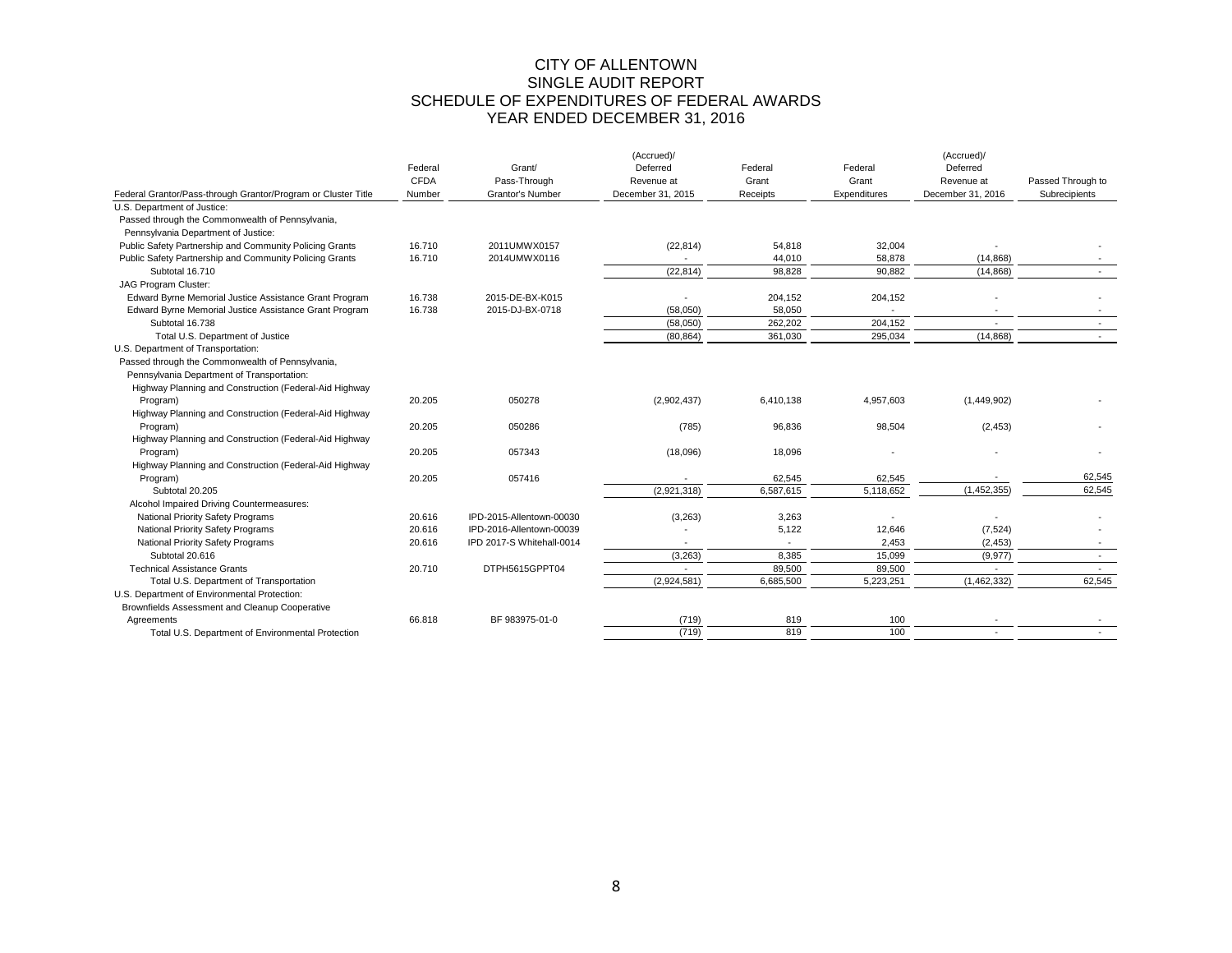#### CITY OF ALLENTOWN SINGLE AUDIT REPORT SCHEDULE OF EXPENDITURES OF FEDERAL AWARDS YEAR ENDED DECEMBER 31, 2016

|                                                               | Federal     | Grant/                    | (Accrued)/<br>Deferred   | Federal   | Federal      | (Accrued)/<br>Deferred   |                   |
|---------------------------------------------------------------|-------------|---------------------------|--------------------------|-----------|--------------|--------------------------|-------------------|
|                                                               | <b>CFDA</b> | Pass-Through              | Revenue at               | Grant     | Grant        | Revenue at               | Passed Through to |
| Federal Grantor/Pass-through Grantor/Program or Cluster Title | Number      | Grantor's Number          | December 31, 2015        | Receipts  | Expenditures | December 31, 2016        | Subrecipients     |
| U.S. Department of Justice:                                   |             |                           |                          |           |              |                          |                   |
| Passed through the Commonwealth of Pennsylvania,              |             |                           |                          |           |              |                          |                   |
| Pennsylvania Department of Justice:                           |             |                           |                          |           |              |                          |                   |
| Public Safety Partnership and Community Policing Grants       | 16.710      | 2011UMWX0157              | (22, 814)                | 54,818    | 32,004       |                          |                   |
| Public Safety Partnership and Community Policing Grants       | 16.710      | 2014UMWX0116              |                          | 44,010    | 58,878       | (14, 868)                |                   |
| Subtotal 16.710                                               |             |                           | (22, 814)                | 98,828    | 90,882       | (14, 868)                |                   |
| JAG Program Cluster:                                          |             |                           |                          |           |              |                          |                   |
| Edward Byrne Memorial Justice Assistance Grant Program        | 16.738      | 2015-DE-BX-K015           |                          | 204,152   | 204,152      |                          |                   |
| Edward Byrne Memorial Justice Assistance Grant Program        | 16.738      | 2015-DJ-BX-0718           | (58,050)                 | 58.050    |              |                          |                   |
| Subtotal 16.738                                               |             |                           | (58,050)                 | 262,202   | 204,152      |                          |                   |
| Total U.S. Department of Justice                              |             |                           | (80, 864)                | 361,030   | 295,034      | (14, 868)                |                   |
| U.S. Department of Transportation:                            |             |                           |                          |           |              |                          |                   |
| Passed through the Commonwealth of Pennsylvania,              |             |                           |                          |           |              |                          |                   |
| Pennsylvania Department of Transportation:                    |             |                           |                          |           |              |                          |                   |
| Highway Planning and Construction (Federal-Aid Highway        |             |                           |                          |           |              |                          |                   |
| Program)                                                      | 20.205      | 050278                    | (2,902,437)              | 6,410,138 | 4,957,603    | (1,449,902)              |                   |
| Highway Planning and Construction (Federal-Aid Highway        |             |                           |                          |           |              |                          |                   |
| Program)                                                      | 20.205      | 050286                    | (785)                    | 96,836    | 98,504       | (2, 453)                 |                   |
| Highway Planning and Construction (Federal-Aid Highway        |             |                           |                          |           |              |                          |                   |
| Program)                                                      | 20.205      | 057343                    | (18,096)                 | 18,096    |              |                          |                   |
| Highway Planning and Construction (Federal-Aid Highway        |             |                           |                          |           |              |                          |                   |
| Program)                                                      | 20.205      | 057416                    | $\overline{\phantom{a}}$ | 62.545    | 62,545       |                          | 62,545            |
| Subtotal 20.205                                               |             |                           | (2,921,318)              | 6,587,615 | 5,118,652    | (1,452,355)              | 62,545            |
| Alcohol Impaired Driving Countermeasures:                     |             |                           |                          |           |              |                          |                   |
| National Priority Safety Programs                             | 20.616      | IPD-2015-Allentown-00030  | (3,263)                  | 3,263     |              |                          |                   |
| National Priority Safety Programs                             | 20.616      | IPD-2016-Allentown-00039  |                          | 5,122     | 12,646       | (7, 524)                 |                   |
| National Priority Safety Programs                             | 20.616      | IPD 2017-S Whitehall-0014 |                          |           | 2,453        | (2, 453)                 |                   |
| Subtotal 20.616                                               |             |                           | (3,263)                  | 8,385     | 15,099       | (9, 977)                 |                   |
| <b>Technical Assistance Grants</b>                            | 20.710      | DTPH5615GPPT04            |                          | 89,500    | 89,500       | $\overline{\phantom{a}}$ |                   |
| Total U.S. Department of Transportation                       |             |                           | (2,924,581)              | 6,685,500 | 5,223,251    | (1,462,332)              | 62,545            |
| U.S. Department of Environmental Protection:                  |             |                           |                          |           |              |                          |                   |
| Brownfields Assessment and Cleanup Cooperative                |             |                           |                          |           |              |                          |                   |
| Agreements                                                    | 66.818      | BF 983975-01-0            | (719)                    | 819       | 100          |                          |                   |
| Total U.S. Department of Environmental Protection             |             |                           | (719)                    | 819       | 100          |                          |                   |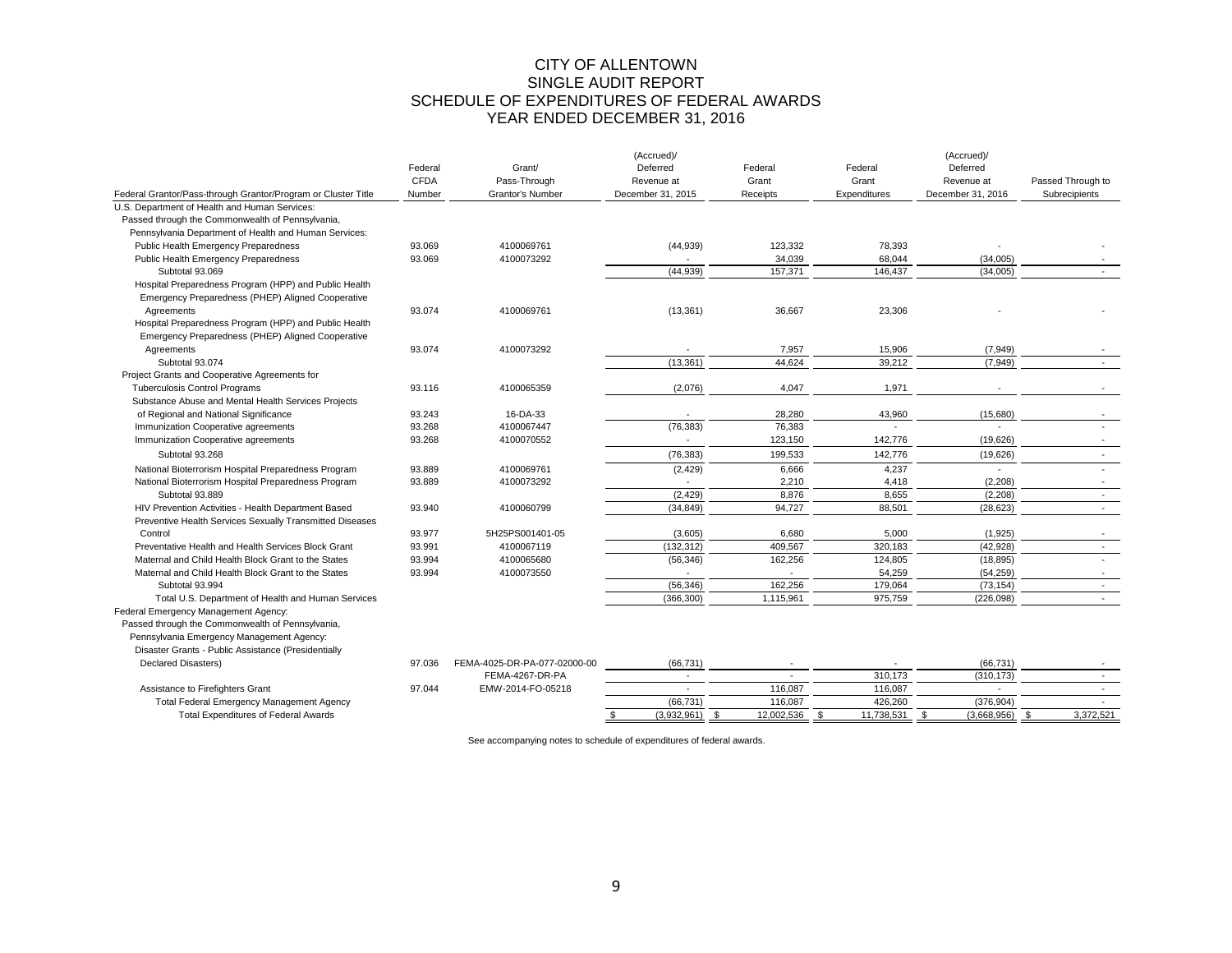#### CITY OF ALLENTOWN SINGLE AUDIT REPORT SCHEDULE OF EXPENDITURES OF FEDERAL AWARDS YEAR ENDED DECEMBER 31, 2016

|                                                               |             |                              | (Accrued)/               |            |                  | (Accrued)/               |                          |
|---------------------------------------------------------------|-------------|------------------------------|--------------------------|------------|------------------|--------------------------|--------------------------|
|                                                               | Federal     | Grant/                       | Deferred                 | Federal    | Federal          | Deferred                 |                          |
|                                                               | <b>CFDA</b> | Pass-Through                 | Revenue at               | Grant      | Grant            | Revenue at               | Passed Through to        |
| Federal Grantor/Pass-through Grantor/Program or Cluster Title | Number      | <b>Grantor's Number</b>      | December 31, 2015        | Receipts   | Expenditures     | December 31, 2016        | Subrecipients            |
| U.S. Department of Health and Human Services:                 |             |                              |                          |            |                  |                          |                          |
| Passed through the Commonwealth of Pennsylvania,              |             |                              |                          |            |                  |                          |                          |
| Pennsylvania Department of Health and Human Services:         |             |                              |                          |            |                  |                          |                          |
| Public Health Emergency Preparedness                          | 93.069      | 4100069761                   | (44, 939)                | 123,332    | 78,393           |                          |                          |
| Public Health Emergency Preparedness                          | 93.069      | 4100073292                   |                          | 34,039     | 68,044           | (34,005)                 |                          |
| Subtotal 93,069                                               |             |                              | (44.939)                 | 157,371    | 146.437          | (34,005)                 |                          |
| Hospital Preparedness Program (HPP) and Public Health         |             |                              |                          |            |                  |                          |                          |
| Emergency Preparedness (PHEP) Aligned Cooperative             |             |                              |                          |            |                  |                          |                          |
| Agreements                                                    | 93.074      | 4100069761                   | (13, 361)                | 36,667     | 23,306           |                          |                          |
| Hospital Preparedness Program (HPP) and Public Health         |             |                              |                          |            |                  |                          |                          |
| Emergency Preparedness (PHEP) Aligned Cooperative             |             |                              |                          |            |                  |                          |                          |
| Agreements                                                    | 93.074      | 4100073292                   |                          | 7,957      | 15,906           | (7, 949)                 |                          |
| Subtotal 93.074                                               |             |                              | (13, 361)                | 44,624     | 39,212           | (7, 949)                 |                          |
| Project Grants and Cooperative Agreements for                 |             |                              |                          |            |                  |                          |                          |
| <b>Tuberculosis Control Programs</b>                          | 93.116      | 4100065359                   | (2,076)                  | 4,047      | 1,971            |                          |                          |
| Substance Abuse and Mental Health Services Projects           |             |                              |                          |            |                  |                          |                          |
| of Regional and National Significance                         | 93.243      | 16-DA-33                     | $\overline{\phantom{a}}$ | 28,280     | 43,960           | (15,680)                 |                          |
| Immunization Cooperative agreements                           | 93.268      | 4100067447                   | (76, 383)                | 76,383     |                  |                          |                          |
| Immunization Cooperative agreements                           | 93.268      | 4100070552                   |                          | 123,150    | 142,776          | (19,626)                 |                          |
| Subtotal 93.268                                               |             |                              | (76, 383)                | 199,533    | 142,776          | (19,626)                 |                          |
| National Bioterrorism Hospital Preparedness Program           | 93.889      | 4100069761                   | (2, 429)                 | 6,666      | 4,237            | $\sim$                   | $\overline{a}$           |
| National Bioterrorism Hospital Preparedness Program           | 93.889      | 4100073292                   |                          | 2,210      | 4,418            | (2.208)                  | $\blacksquare$           |
| Subtotal 93.889                                               |             |                              | (2, 429)                 | 8,876      | 8,655            | (2, 208)                 | $\overline{\phantom{a}}$ |
| HIV Prevention Activities - Health Department Based           | 93.940      | 4100060799                   | (34, 849)                | 94.727     | 88.501           | (28, 623)                | $\overline{\phantom{a}}$ |
| Preventive Health Services Sexually Transmitted Diseases      |             |                              |                          |            |                  |                          |                          |
| Control                                                       | 93.977      | 5H25PS001401-05              | (3,605)                  | 6,680      | 5,000            | (1, 925)                 |                          |
| Preventative Health and Health Services Block Grant           | 93.991      | 4100067119                   | (132, 312)               | 409,567    | 320,183          | (42, 928)                | $\sim$                   |
| Maternal and Child Health Block Grant to the States           | 93.994      | 4100065680                   | (56, 346)                | 162,256    | 124,805          | (18, 895)                | $\sim$                   |
| Maternal and Child Health Block Grant to the States           | 93.994      | 4100073550                   |                          |            | 54,259           | (54, 259)                |                          |
| Subtotal 93.994                                               |             |                              | (56, 346)                | 162.256    | 179.064          | (73, 154)                | $\blacksquare$           |
| Total U.S. Department of Health and Human Services            |             |                              | (366, 300)               | 1,115,961  | 975,759          | (226, 098)               |                          |
| Federal Emergency Management Agency:                          |             |                              |                          |            |                  |                          |                          |
| Passed through the Commonwealth of Pennsylvania,              |             |                              |                          |            |                  |                          |                          |
| Pennsylvania Emergency Management Agency:                     |             |                              |                          |            |                  |                          |                          |
| Disaster Grants - Public Assistance (Presidentially           |             |                              |                          |            |                  |                          |                          |
| Declared Disasters)                                           | 97.036      | FEMA-4025-DR-PA-077-02000-00 | (66, 731)                |            |                  | (66, 731)                |                          |
|                                                               |             | FEMA-4267-DR-PA              | $\sim$                   |            | 310.173          | (310, 173)               | $\blacksquare$           |
| Assistance to Firefighters Grant                              | 97.044      | EMW-2014-FO-05218            | $\overline{\phantom{a}}$ | 116,087    | 116,087          | $\overline{\phantom{a}}$ | $\overline{\phantom{a}}$ |
| <b>Total Federal Emergency Management Agency</b>              |             |                              | (66, 731)                | 116,087    | 426,260          | (376, 904)               |                          |
| <b>Total Expenditures of Federal Awards</b>                   |             |                              | $(3,932,961)$ \$<br>\$   | 12,002,536 | \$<br>11,738,531 | \$<br>(3,668,956)        | \$<br>3,372,521          |
|                                                               |             |                              |                          |            |                  |                          |                          |

See accompanying notes to schedule of expenditures of federal awards.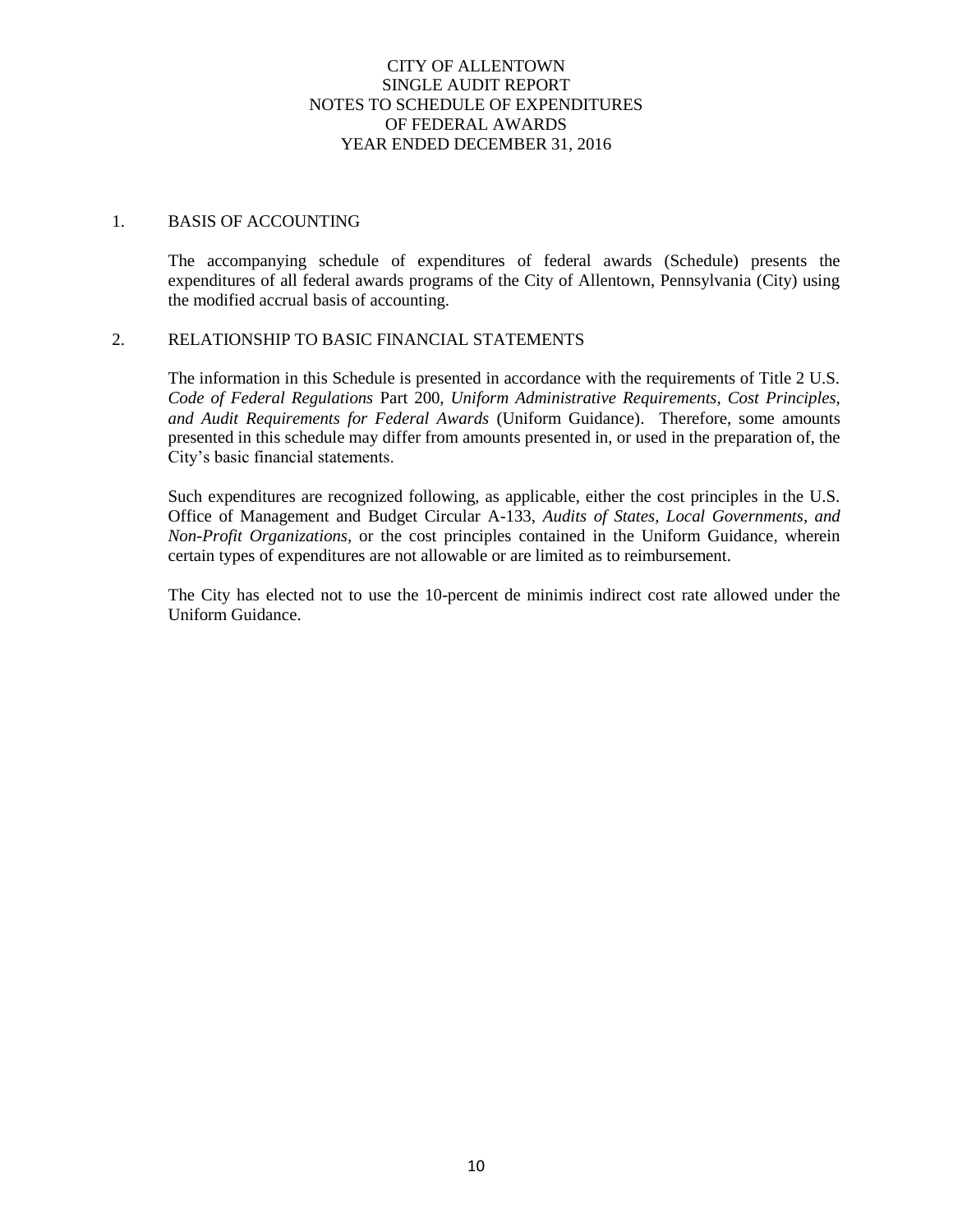# CITY OF ALLENTOWN SINGLE AUDIT REPORT NOTES TO SCHEDULE OF EXPENDITURES OF FEDERAL AWARDS YEAR ENDED DECEMBER 31, 2016

#### 1. BASIS OF ACCOUNTING

The accompanying schedule of expenditures of federal awards (Schedule) presents the expenditures of all federal awards programs of the City of Allentown, Pennsylvania (City) using the modified accrual basis of accounting.

#### 2. RELATIONSHIP TO BASIC FINANCIAL STATEMENTS

The information in this Schedule is presented in accordance with the requirements of Title 2 U.S. *Code of Federal Regulations* Part 200, *Uniform Administrative Requirements, Cost Principles, and Audit Requirements for Federal Awards* (Uniform Guidance). Therefore, some amounts presented in this schedule may differ from amounts presented in, or used in the preparation of, the City's basic financial statements.

Such expenditures are recognized following, as applicable, either the cost principles in the U.S. Office of Management and Budget Circular A-133, *Audits of States, Local Governments, and Non-Profit Organizations,* or the cost principles contained in the Uniform Guidance, wherein certain types of expenditures are not allowable or are limited as to reimbursement.

The City has elected not to use the 10-percent de minimis indirect cost rate allowed under the Uniform Guidance.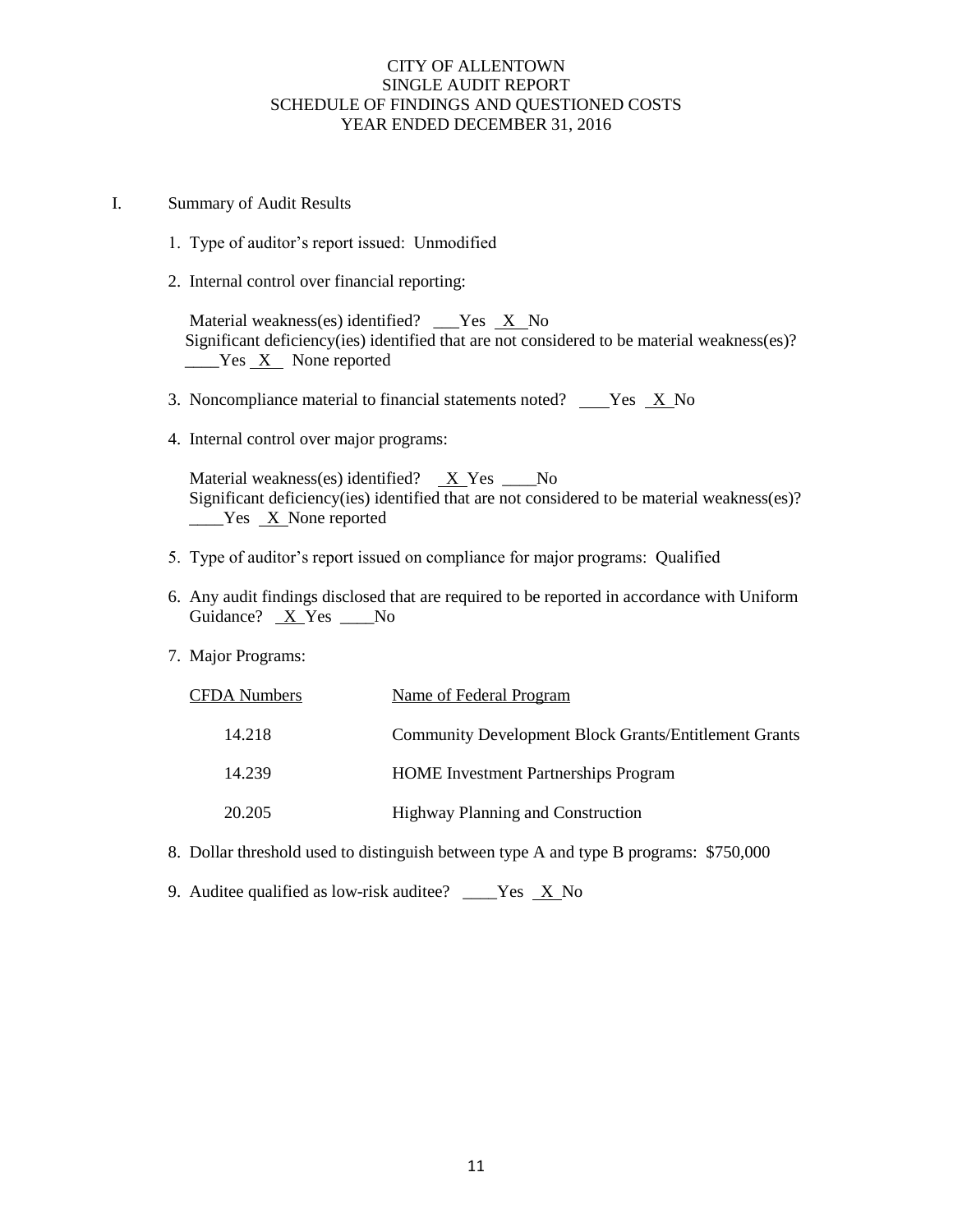- I. Summary of Audit Results
	- 1. Type of auditor's report issued: Unmodified
	- 2. Internal control over financial reporting:

Material weakness(es) identified? \_\_\_Yes  $X$  No Significant deficiency(ies) identified that are not considered to be material weakness(es)? Yes X None reported

- 3. Noncompliance material to financial statements noted?  $X_N$  No
- 4. Internal control over major programs:

Material weakness(es) identified?  $X$  Yes \_\_\_No Significant deficiency(ies) identified that are not considered to be material weakness(es)?  $Yes \ X$  None reported

- 5. Type of auditor's report issued on compliance for major programs: Qualified
- 6. Any audit findings disclosed that are required to be reported in accordance with Uniform Guidance?  $X$  Yes  $N_0$
- 7. Major Programs:

| <b>CFDA</b> Numbers | Name of Federal Program                                      |
|---------------------|--------------------------------------------------------------|
| 14.218              | <b>Community Development Block Grants/Entitlement Grants</b> |
| 14.239              | <b>HOME</b> Investment Partnerships Program                  |
| 20.205              | <b>Highway Planning and Construction</b>                     |

- 8. Dollar threshold used to distinguish between type A and type B programs: \$750,000
- 9. Auditee qualified as low-risk auditee? \_\_\_\_Yes  $\overline{X}$  No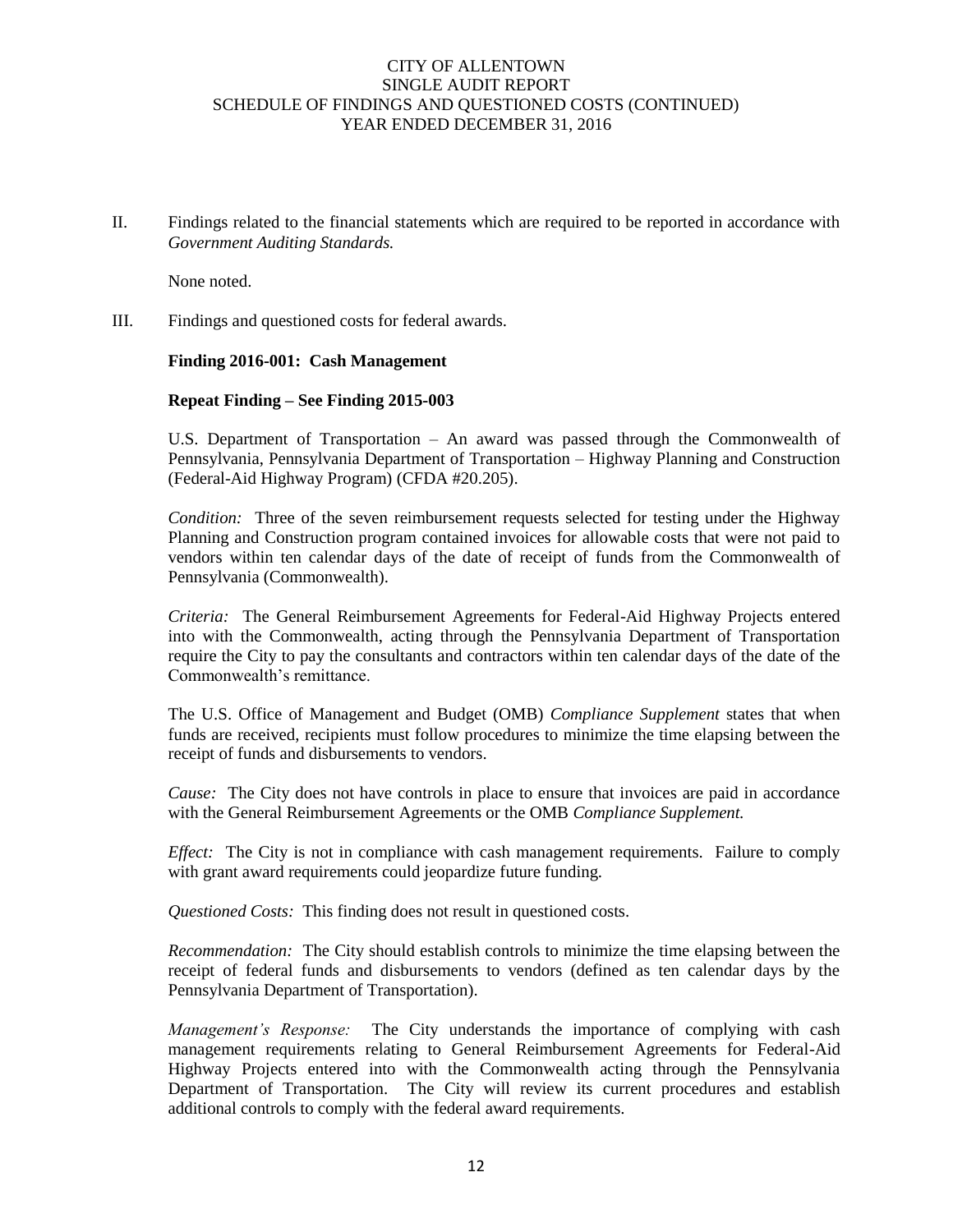II. Findings related to the financial statements which are required to be reported in accordance with *Government Auditing Standards.*

None noted.

III. Findings and questioned costs for federal awards.

#### **Finding 2016-001: Cash Management**

#### **Repeat Finding – See Finding 2015-003**

U.S. Department of Transportation – An award was passed through the Commonwealth of Pennsylvania, Pennsylvania Department of Transportation – Highway Planning and Construction (Federal-Aid Highway Program) (CFDA #20.205).

*Condition:* Three of the seven reimbursement requests selected for testing under the Highway Planning and Construction program contained invoices for allowable costs that were not paid to vendors within ten calendar days of the date of receipt of funds from the Commonwealth of Pennsylvania (Commonwealth).

*Criteria:* The General Reimbursement Agreements for Federal-Aid Highway Projects entered into with the Commonwealth, acting through the Pennsylvania Department of Transportation require the City to pay the consultants and contractors within ten calendar days of the date of the Commonwealth's remittance.

The U.S. Office of Management and Budget (OMB) *Compliance Supplement* states that when funds are received, recipients must follow procedures to minimize the time elapsing between the receipt of funds and disbursements to vendors.

*Cause:* The City does not have controls in place to ensure that invoices are paid in accordance with the General Reimbursement Agreements or the OMB *Compliance Supplement.*

*Effect:* The City is not in compliance with cash management requirements. Failure to comply with grant award requirements could jeopardize future funding.

*Questioned Costs:* This finding does not result in questioned costs.

*Recommendation:* The City should establish controls to minimize the time elapsing between the receipt of federal funds and disbursements to vendors (defined as ten calendar days by the Pennsylvania Department of Transportation).

*Management's Response:* The City understands the importance of complying with cash management requirements relating to General Reimbursement Agreements for Federal-Aid Highway Projects entered into with the Commonwealth acting through the Pennsylvania Department of Transportation. The City will review its current procedures and establish additional controls to comply with the federal award requirements.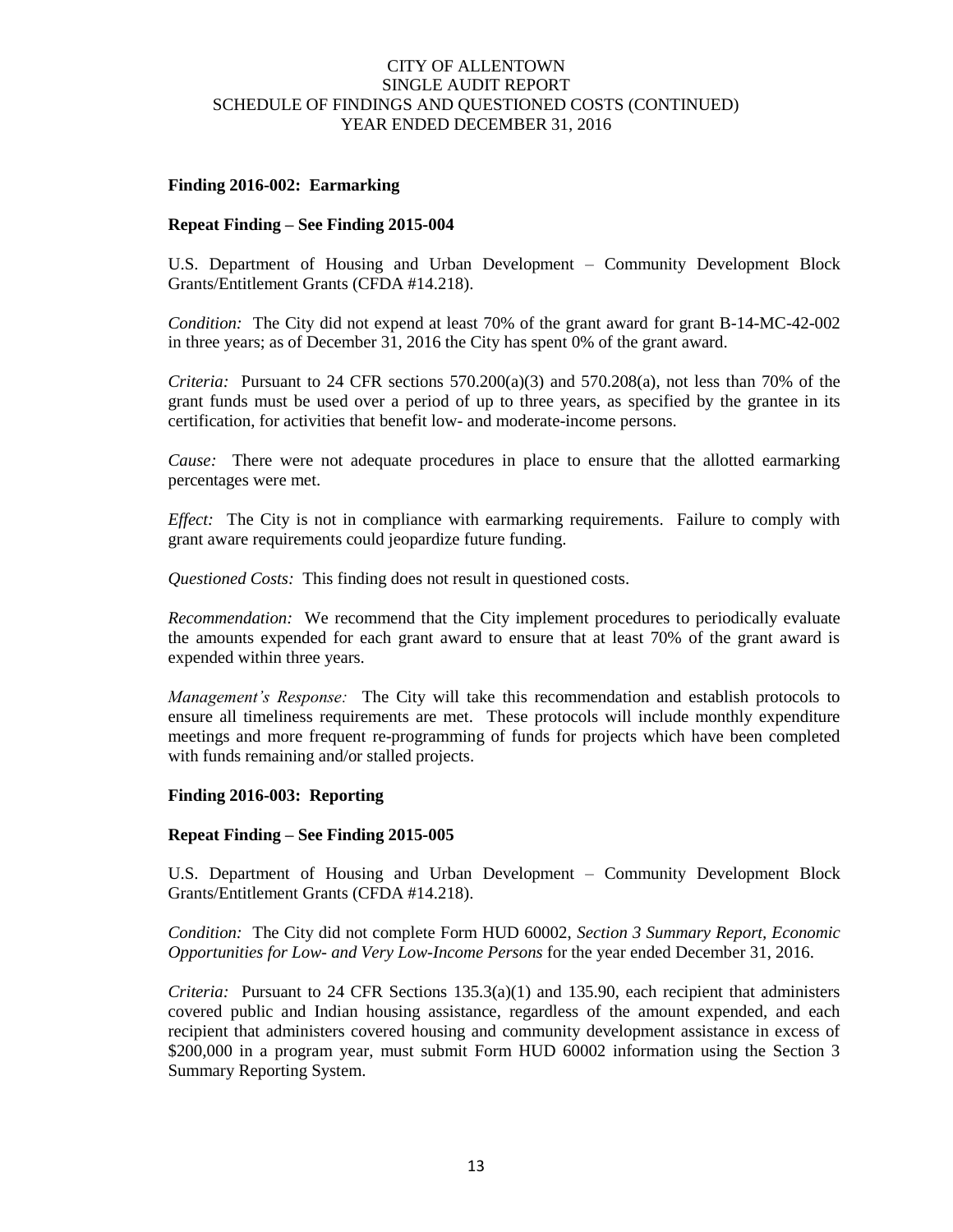#### **Finding 2016-002: Earmarking**

#### **Repeat Finding – See Finding 2015-004**

U.S. Department of Housing and Urban Development – Community Development Block Grants/Entitlement Grants (CFDA #14.218).

*Condition:* The City did not expend at least 70% of the grant award for grant B-14-MC-42-002 in three years; as of December 31, 2016 the City has spent 0% of the grant award.

*Criteria:* Pursuant to 24 CFR sections  $570.200(a)(3)$  and  $570.208(a)$ , not less than 70% of the grant funds must be used over a period of up to three years, as specified by the grantee in its certification, for activities that benefit low- and moderate-income persons.

*Cause:* There were not adequate procedures in place to ensure that the allotted earmarking percentages were met.

*Effect:* The City is not in compliance with earmarking requirements. Failure to comply with grant aware requirements could jeopardize future funding.

*Questioned Costs:* This finding does not result in questioned costs.

*Recommendation:* We recommend that the City implement procedures to periodically evaluate the amounts expended for each grant award to ensure that at least 70% of the grant award is expended within three years.

*Management's Response:* The City will take this recommendation and establish protocols to ensure all timeliness requirements are met. These protocols will include monthly expenditure meetings and more frequent re-programming of funds for projects which have been completed with funds remaining and/or stalled projects.

#### **Finding 2016-003: Reporting**

#### **Repeat Finding – See Finding 2015-005**

U.S. Department of Housing and Urban Development – Community Development Block Grants/Entitlement Grants (CFDA #14.218).

*Condition:* The City did not complete Form HUD 60002, *Section 3 Summary Report, Economic Opportunities for Low- and Very Low-Income Persons* for the year ended December 31, 2016.

*Criteria:* Pursuant to 24 CFR Sections 135.3(a)(1) and 135.90, each recipient that administers covered public and Indian housing assistance, regardless of the amount expended, and each recipient that administers covered housing and community development assistance in excess of \$200,000 in a program year, must submit Form HUD 60002 information using the Section 3 Summary Reporting System.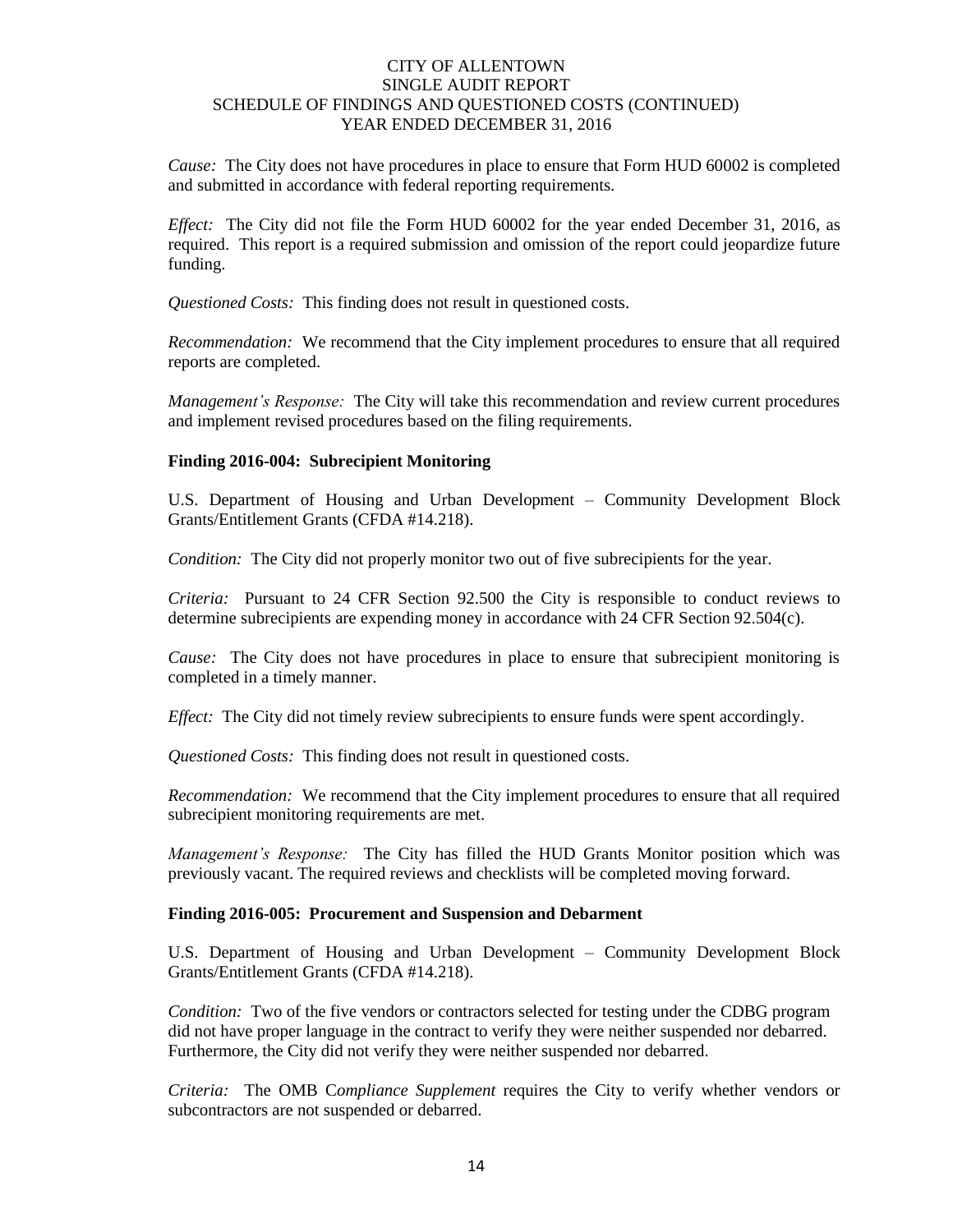*Cause:* The City does not have procedures in place to ensure that Form HUD 60002 is completed and submitted in accordance with federal reporting requirements.

*Effect:* The City did not file the Form HUD 60002 for the year ended December 31, 2016, as required. This report is a required submission and omission of the report could jeopardize future funding.

*Questioned Costs:* This finding does not result in questioned costs.

*Recommendation:* We recommend that the City implement procedures to ensure that all required reports are completed.

*Management's Response:* The City will take this recommendation and review current procedures and implement revised procedures based on the filing requirements.

#### **Finding 2016-004: Subrecipient Monitoring**

U.S. Department of Housing and Urban Development – Community Development Block Grants/Entitlement Grants (CFDA #14.218).

*Condition:* The City did not properly monitor two out of five subrecipients for the year.

*Criteria:* Pursuant to 24 CFR Section 92.500 the City is responsible to conduct reviews to determine subrecipients are expending money in accordance with 24 CFR Section 92.504(c).

*Cause:* The City does not have procedures in place to ensure that subrecipient monitoring is completed in a timely manner.

*Effect:* The City did not timely review subrecipients to ensure funds were spent accordingly.

*Questioned Costs:* This finding does not result in questioned costs.

*Recommendation:* We recommend that the City implement procedures to ensure that all required subrecipient monitoring requirements are met.

*Management's Response:* The City has filled the HUD Grants Monitor position which was previously vacant. The required reviews and checklists will be completed moving forward.

#### **Finding 2016-005: Procurement and Suspension and Debarment**

U.S. Department of Housing and Urban Development – Community Development Block Grants/Entitlement Grants (CFDA #14.218).

*Condition:* Two of the five vendors or contractors selected for testing under the CDBG program did not have proper language in the contract to verify they were neither suspended nor debarred. Furthermore, the City did not verify they were neither suspended nor debarred.

*Criteria:* The OMB C*ompliance Supplement* requires the City to verify whether vendors or subcontractors are not suspended or debarred.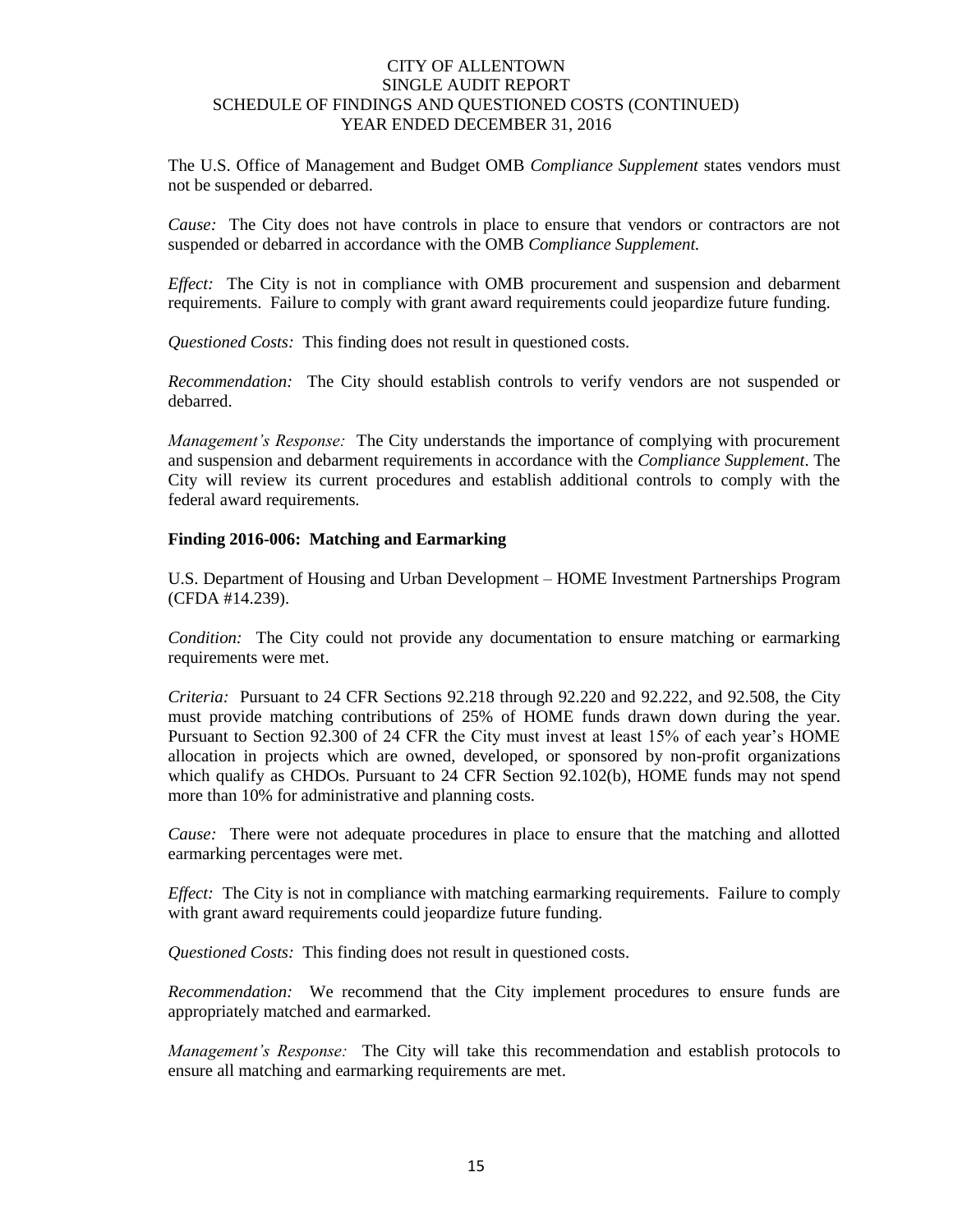The U.S. Office of Management and Budget OMB *Compliance Supplement* states vendors must not be suspended or debarred.

*Cause:* The City does not have controls in place to ensure that vendors or contractors are not suspended or debarred in accordance with the OMB *Compliance Supplement.*

*Effect:* The City is not in compliance with OMB procurement and suspension and debarment requirements. Failure to comply with grant award requirements could jeopardize future funding.

*Questioned Costs:* This finding does not result in questioned costs.

*Recommendation:* The City should establish controls to verify vendors are not suspended or debarred.

*Management's Response:* The City understands the importance of complying with procurement and suspension and debarment requirements in accordance with the *Compliance Supplement*. The City will review its current procedures and establish additional controls to comply with the federal award requirements.

#### **Finding 2016-006: Matching and Earmarking**

U.S. Department of Housing and Urban Development – HOME Investment Partnerships Program (CFDA #14.239).

*Condition:* The City could not provide any documentation to ensure matching or earmarking requirements were met.

*Criteria:* Pursuant to 24 CFR Sections 92.218 through 92.220 and 92.222, and 92.508, the City must provide matching contributions of 25% of HOME funds drawn down during the year. Pursuant to Section 92.300 of 24 CFR the City must invest at least 15% of each year's HOME allocation in projects which are owned, developed, or sponsored by non-profit organizations which qualify as CHDOs. Pursuant to 24 CFR Section 92.102(b), HOME funds may not spend more than 10% for administrative and planning costs.

*Cause:* There were not adequate procedures in place to ensure that the matching and allotted earmarking percentages were met.

*Effect:* The City is not in compliance with matching earmarking requirements. Failure to comply with grant award requirements could jeopardize future funding.

*Questioned Costs:* This finding does not result in questioned costs.

*Recommendation:* We recommend that the City implement procedures to ensure funds are appropriately matched and earmarked.

*Management's Response:* The City will take this recommendation and establish protocols to ensure all matching and earmarking requirements are met.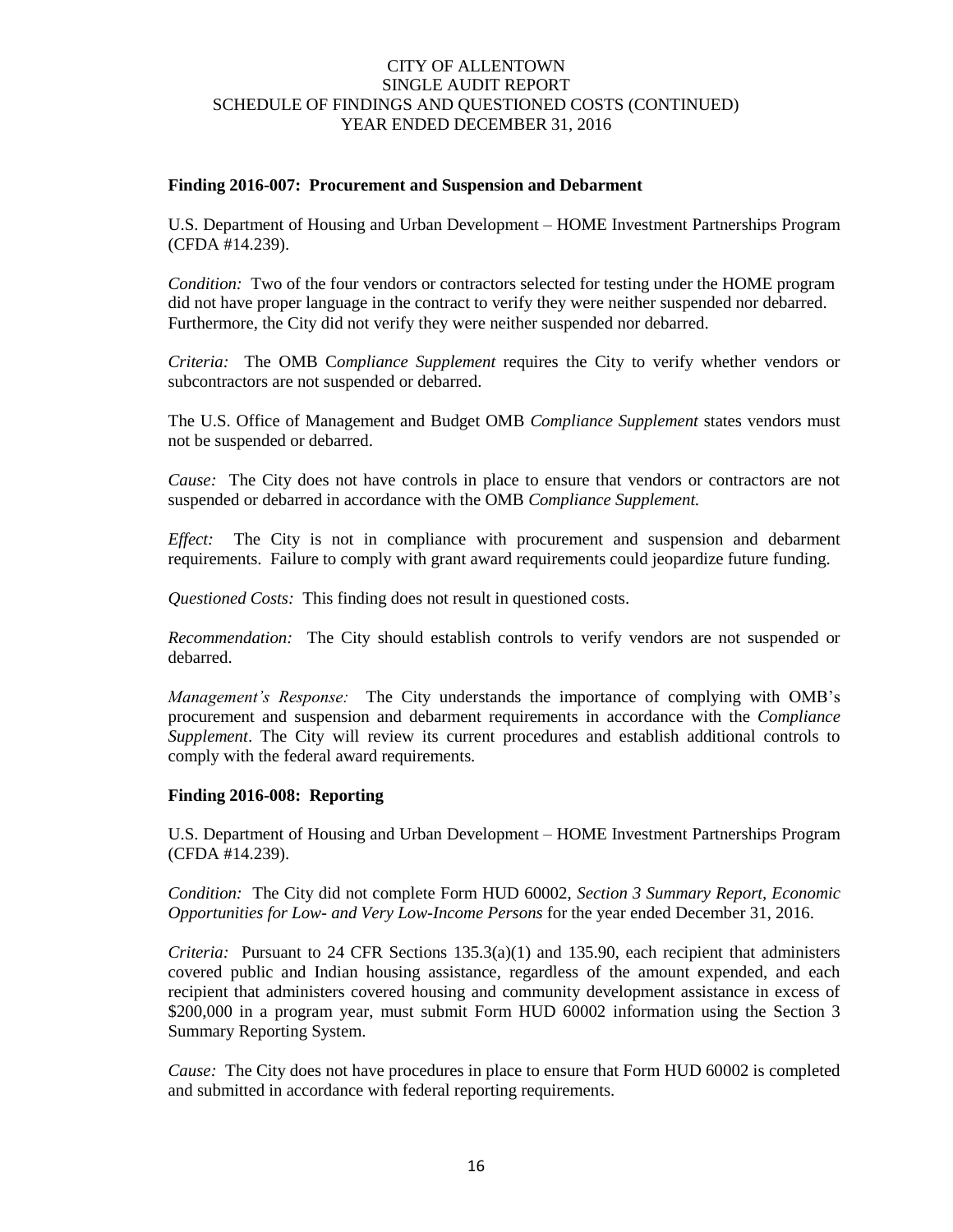#### **Finding 2016-007: Procurement and Suspension and Debarment**

U.S. Department of Housing and Urban Development – HOME Investment Partnerships Program (CFDA #14.239).

*Condition:* Two of the four vendors or contractors selected for testing under the HOME program did not have proper language in the contract to verify they were neither suspended nor debarred. Furthermore, the City did not verify they were neither suspended nor debarred.

*Criteria:* The OMB C*ompliance Supplement* requires the City to verify whether vendors or subcontractors are not suspended or debarred.

The U.S. Office of Management and Budget OMB *Compliance Supplement* states vendors must not be suspended or debarred.

*Cause:* The City does not have controls in place to ensure that vendors or contractors are not suspended or debarred in accordance with the OMB *Compliance Supplement.*

*Effect:* The City is not in compliance with procurement and suspension and debarment requirements. Failure to comply with grant award requirements could jeopardize future funding.

*Questioned Costs:* This finding does not result in questioned costs.

*Recommendation:* The City should establish controls to verify vendors are not suspended or debarred.

*Management's Response:* The City understands the importance of complying with OMB's procurement and suspension and debarment requirements in accordance with the *Compliance Supplement*. The City will review its current procedures and establish additional controls to comply with the federal award requirements.

#### **Finding 2016-008: Reporting**

U.S. Department of Housing and Urban Development – HOME Investment Partnerships Program (CFDA #14.239).

*Condition:* The City did not complete Form HUD 60002, *Section 3 Summary Report, Economic Opportunities for Low- and Very Low-Income Persons* for the year ended December 31, 2016.

*Criteria:* Pursuant to 24 CFR Sections 135.3(a)(1) and 135.90, each recipient that administers covered public and Indian housing assistance, regardless of the amount expended, and each recipient that administers covered housing and community development assistance in excess of \$200,000 in a program year, must submit Form HUD 60002 information using the Section 3 Summary Reporting System.

*Cause:* The City does not have procedures in place to ensure that Form HUD 60002 is completed and submitted in accordance with federal reporting requirements.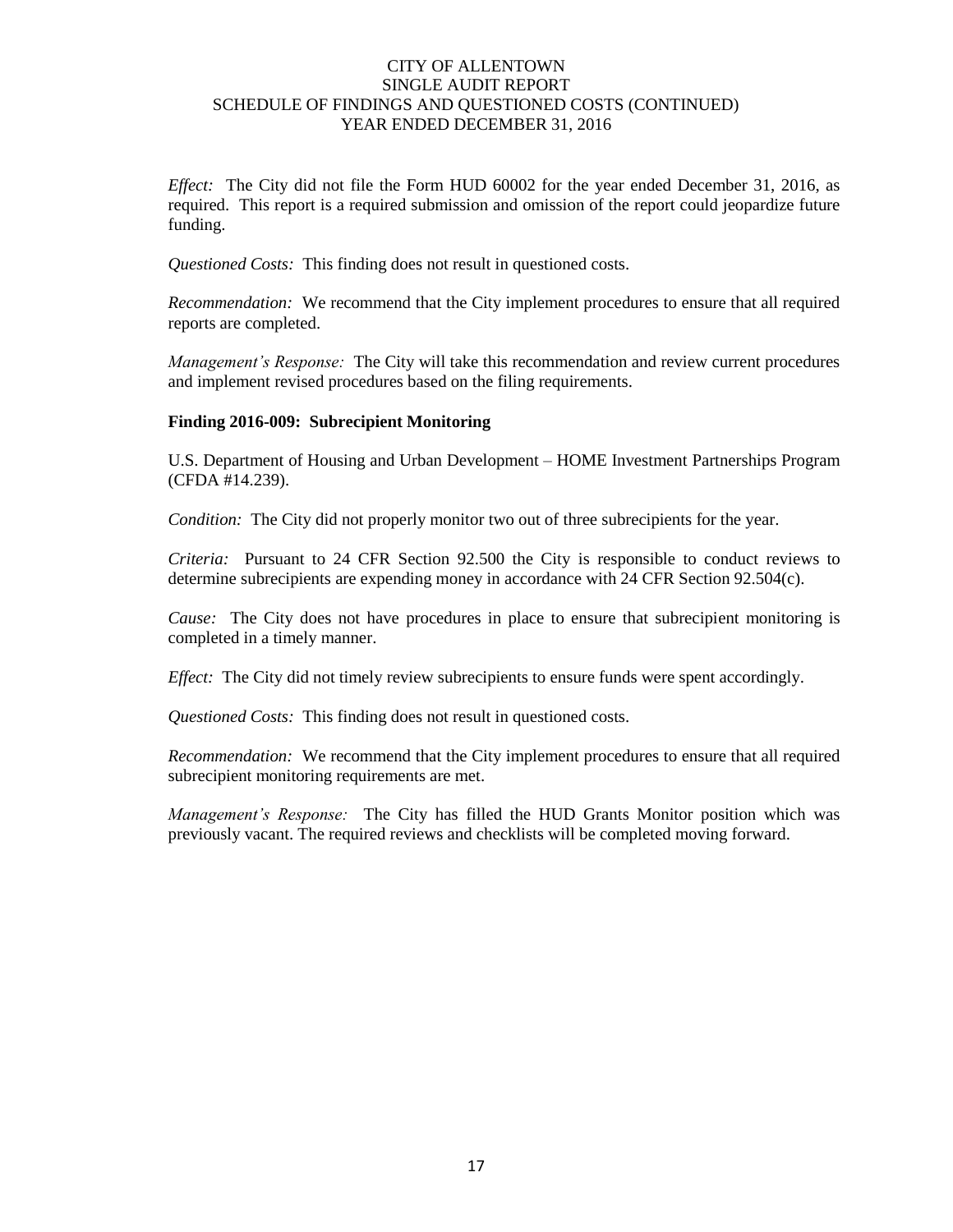*Effect:* The City did not file the Form HUD 60002 for the year ended December 31, 2016, as required. This report is a required submission and omission of the report could jeopardize future funding.

*Questioned Costs:* This finding does not result in questioned costs.

*Recommendation:* We recommend that the City implement procedures to ensure that all required reports are completed.

*Management's Response:* The City will take this recommendation and review current procedures and implement revised procedures based on the filing requirements.

#### **Finding 2016-009: Subrecipient Monitoring**

U.S. Department of Housing and Urban Development – HOME Investment Partnerships Program (CFDA #14.239).

*Condition:* The City did not properly monitor two out of three subrecipients for the year.

*Criteria:* Pursuant to 24 CFR Section 92.500 the City is responsible to conduct reviews to determine subrecipients are expending money in accordance with 24 CFR Section 92.504(c).

*Cause:* The City does not have procedures in place to ensure that subrecipient monitoring is completed in a timely manner.

*Effect:* The City did not timely review subrecipients to ensure funds were spent accordingly.

*Questioned Costs:* This finding does not result in questioned costs.

*Recommendation:* We recommend that the City implement procedures to ensure that all required subrecipient monitoring requirements are met.

*Management's Response:* The City has filled the HUD Grants Monitor position which was previously vacant. The required reviews and checklists will be completed moving forward.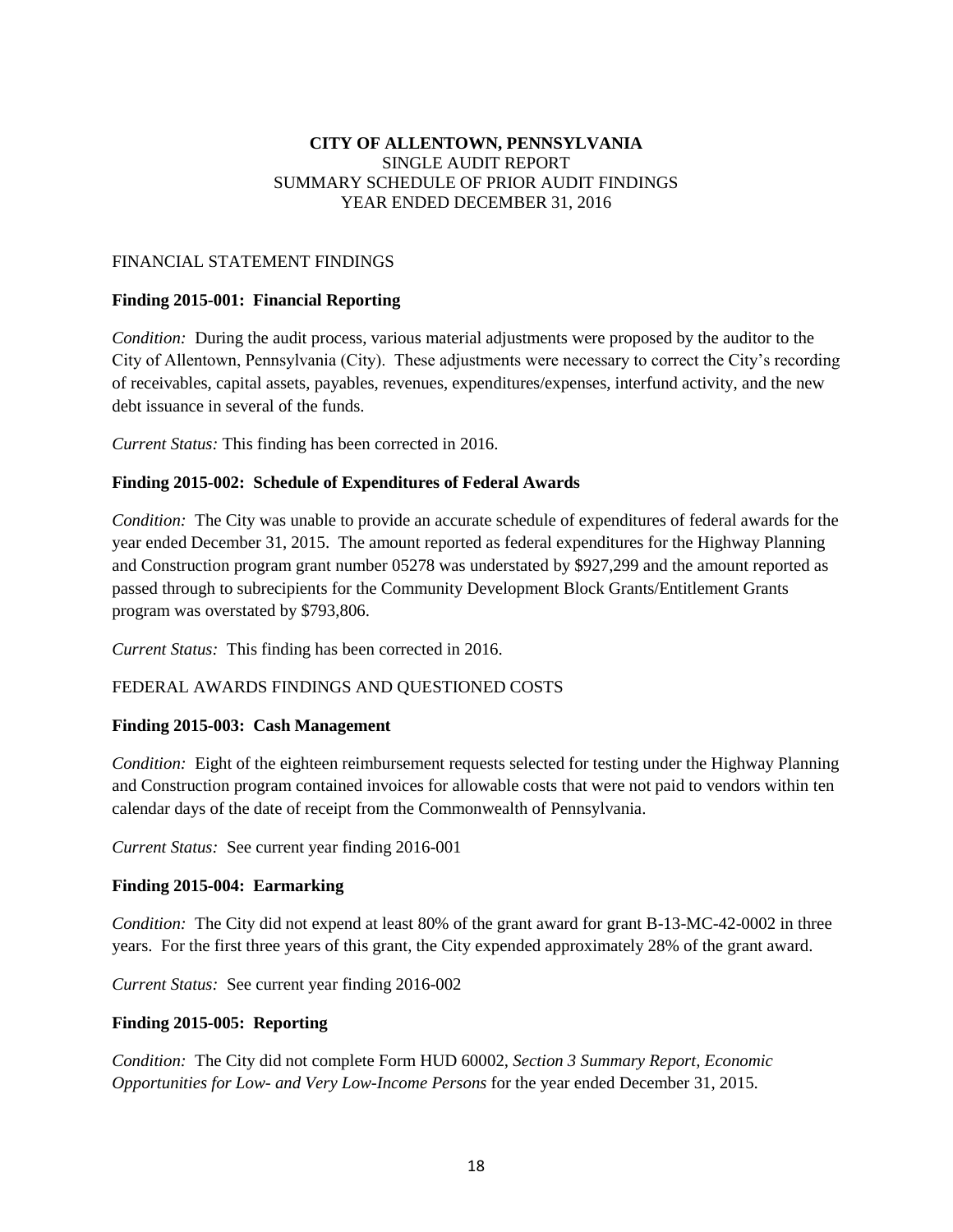# **CITY OF ALLENTOWN, PENNSYLVANIA** SINGLE AUDIT REPORT SUMMARY SCHEDULE OF PRIOR AUDIT FINDINGS YEAR ENDED DECEMBER 31, 2016

### FINANCIAL STATEMENT FINDINGS

### **Finding 2015-001: Financial Reporting**

*Condition:* During the audit process, various material adjustments were proposed by the auditor to the City of Allentown, Pennsylvania (City). These adjustments were necessary to correct the City's recording of receivables, capital assets, payables, revenues, expenditures/expenses, interfund activity, and the new debt issuance in several of the funds.

*Current Status:* This finding has been corrected in 2016.

#### **Finding 2015-002: Schedule of Expenditures of Federal Awards**

*Condition:* The City was unable to provide an accurate schedule of expenditures of federal awards for the year ended December 31, 2015. The amount reported as federal expenditures for the Highway Planning and Construction program grant number 05278 was understated by \$927,299 and the amount reported as passed through to subrecipients for the Community Development Block Grants/Entitlement Grants program was overstated by \$793,806.

*Current Status:* This finding has been corrected in 2016.

# FEDERAL AWARDS FINDINGS AND QUESTIONED COSTS

# **Finding 2015-003: Cash Management**

*Condition:* Eight of the eighteen reimbursement requests selected for testing under the Highway Planning and Construction program contained invoices for allowable costs that were not paid to vendors within ten calendar days of the date of receipt from the Commonwealth of Pennsylvania.

*Current Status:* See current year finding 2016-001

# **Finding 2015-004: Earmarking**

*Condition:* The City did not expend at least 80% of the grant award for grant B-13-MC-42-0002 in three years. For the first three years of this grant, the City expended approximately 28% of the grant award.

*Current Status:* See current year finding 2016-002

# **Finding 2015-005: Reporting**

*Condition:* The City did not complete Form HUD 60002, *Section 3 Summary Report, Economic Opportunities for Low- and Very Low-Income Persons* for the year ended December 31, 2015.